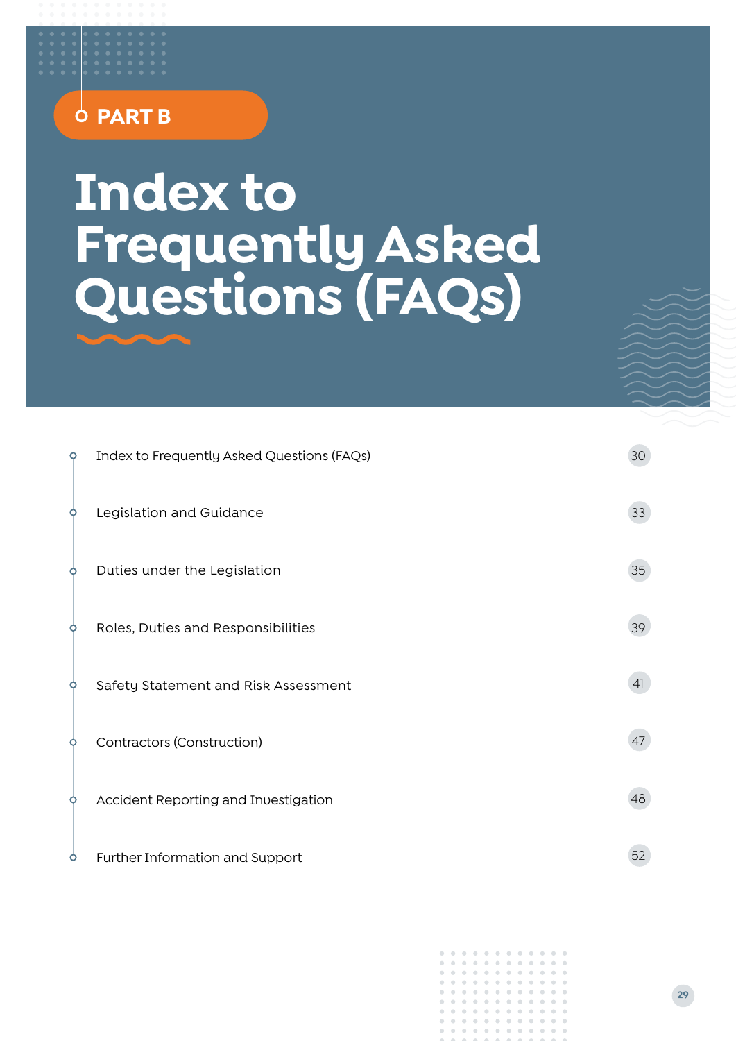## **PART B**

# **Index to Frequently Asked Questions (FAQs)**

| $\circ$ | Index to Frequently Asked Questions (FAQs) | 30 |
|---------|--------------------------------------------|----|
| O       | Legislation and Guidance                   | 33 |
| O       | Duties under the Legislation               | 35 |
| O       | Roles, Duties and Responsibilities         | 39 |
| O       | Safety Statement and Risk Assessment       | 41 |
| O       | Contractors (Construction)                 | 47 |
| O       | Accident Reporting and Investigation       | 48 |
| $\circ$ | Further Information and Support            | 52 |

|  | . |  |  |  |  |
|--|---|--|--|--|--|
|  | . |  |  |  |  |
|  | . |  |  |  |  |
|  | . |  |  |  |  |
|  | . |  |  |  |  |
|  | . |  |  |  |  |
|  | . |  |  |  |  |
|  | . |  |  |  |  |
|  | . |  |  |  |  |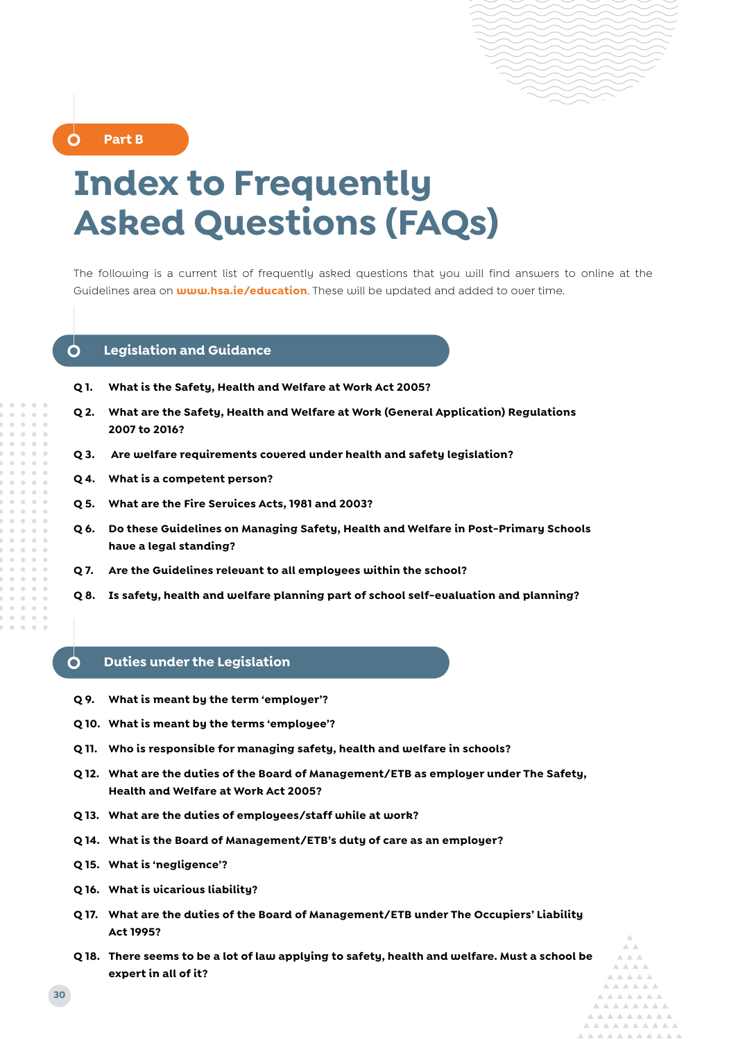

<span id="page-1-0"></span>**Part B** 

## **Index to Frequently Asked Questions (FAQs)**

The following is a current list of frequently asked questions that you will find answers to online at the Guidelines area on **www.hsa.ie/education**. These will be updated and added to over time.

#### Ò **Legislation and Guidance**

- **Q 1. What is the Safety, Health and Welfare at Work Act 2005?**
- **Q 2. What are the Safety, Health and Welfare at Work (General Application) Regulations 2007 to 2016?**
- **Q 3. Are welfare requirements covered under health and safety legislation?**
- **Q 4. What is a competent person?**
- **Q 5. What are the Fire Services Acts, 1981 and 2003?**
- **Q 6. Do these Guidelines on Managing Safety, Health and Welfare in Post-Primary Schools have a legal standing?**
- **Q 7. Are the Guidelines relevant to all employees within the school?**
- **Q 8. Is safety, health and welfare planning part of school self-evaluation and planning?**

#### Ò **Duties under the Legislation**

- **Q 9. What is meant by the term 'employer'?**
- **Q 10. What is meant by the terms 'employee'?**
- **Q 11. Who is responsible for managing safety, health and welfare in schools?**
- **Q 12. What are the duties of the Board of Management/ETB as employer under The Safety, Health and Welfare at Work Act 2005?**
- **Q 13. What are the duties of employees/staff while at work?**
- **Q 14. What is the Board of Management/ETB's duty of care as an employer?**
- **Q 15. What is 'negligence'?**
- **Q 16. What is vicarious liability?**
- **Q 17. What are the duties of the Board of Management/ETB under The Occupiers' Liability Act 1995?**
- **Q 18. There seems to be a lot of law applying to safety, health and welfare. Must a school be expert in all of it?**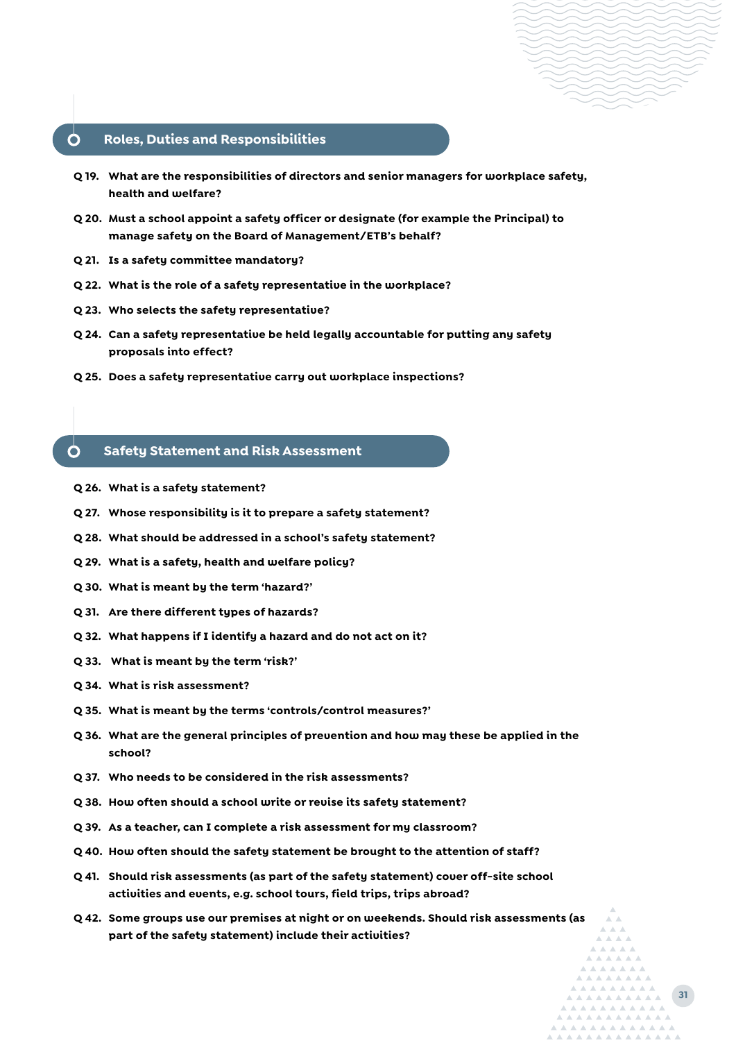#### **Roles, Duties and Responsibilities**

- **Q 19. What are the responsibilities of directors and senior managers for workplace safety, health and welfare?**
- **Q 20. Must a school appoint a safety officer or designate (for example the Principal) to manage safety on the Board of Management/ETB's behalf?**
- **Q 21. Is a safety committee mandatory?**
- **Q 22. What is the role of a safety representative in the workplace?**
- **Q 23. Who selects the safety representative?**
- **Q 24. Can a safety representative be held legally accountable for putting any safety proposals into effect?**
- **Q 25. Does a safety representative carry out workplace inspections?**

#### **Safety Statement and Risk Assessment**

**Q 26. What is a safety statement?**

Ò

- **Q 27. Whose responsibility is it to prepare a safety statement?**
- **Q 28. What should be addressed in a school's safety statement?**
- **Q 29. What is a safety, health and welfare policy?**
- **Q 30. What is meant by the term 'hazard?'**
- **Q 31. Are there different types of hazards?**
- **Q 32. What happens if I identify a hazard and do not act on it?**
- **Q 33. What is meant by the term 'risk?'**
- **Q 34. What is risk assessment?**
- **Q 35. What is meant by the terms 'controls/control measures?'**
- **Q 36. What are the general principles of prevention and how may these be applied in the school?**
- **Q 37. Who needs to be considered in the risk assessments?**
- **Q 38. How often should a school write or revise its safety statement?**
- **Q 39. As a teacher, can I complete a risk assessment for my classroom?**
- **Q 40. How often should the safety statement be brought to the attention of staff?**
- **Q 41. Should risk assessments (as part of the safety statement) cover off-site school activities and events, e.g. school tours, field trips, trips abroad?**
- **Q 42. Some groups use our premises at night or on weekends. Should risk assessments (as part of the safety statement) include their activities?**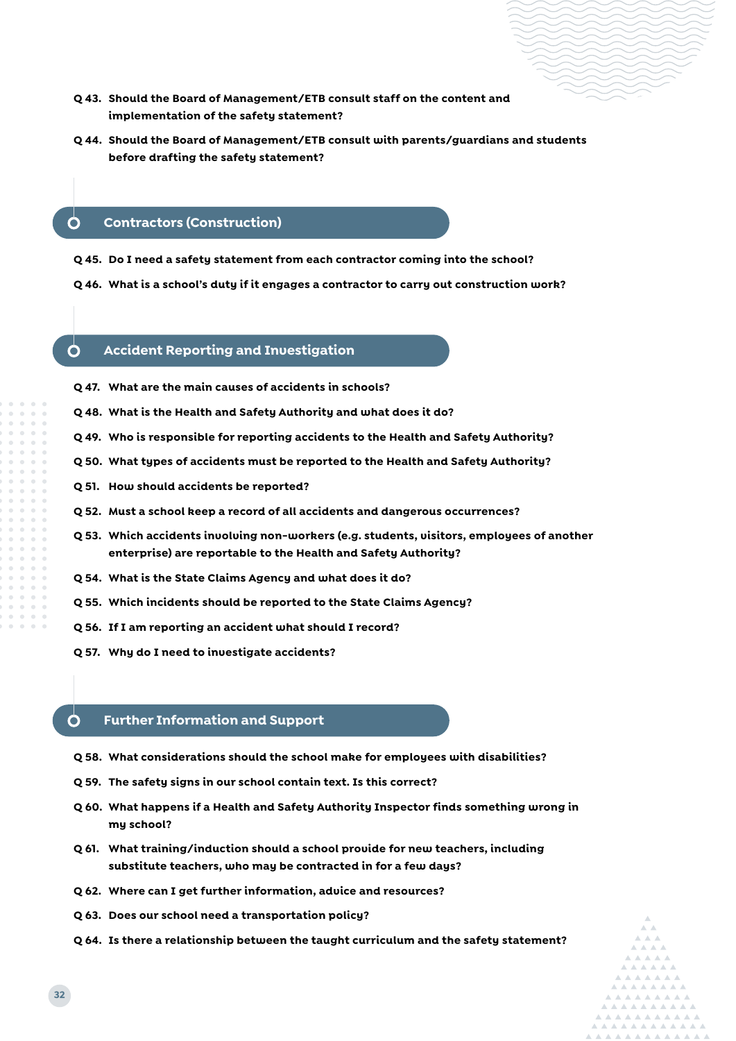- 
- **Q 43. Should the Board of Management/ETB consult staff on the content and implementation of the safety statement?**
- **Q 44. Should the Board of Management/ETB consult with parents/guardians and students before drafting the safety statement?**

#### **Contractors (Construction)**

- **Q 45. Do I need a safety statement from each contractor coming into the school?**
- **Q 46. What is a school's duty if it engages a contractor to carry out construction work?**

#### ∩ **Accident Reporting and Investigation**

- **Q 47. What are the main causes of accidents in schools?**
- **Q 48. What is the Health and Safety Authority and what does it do?**
- **Q 49. Who is responsible for reporting accidents to the Health and Safety Authority?**
- **Q 50. What types of accidents must be reported to the Health and Safety Authority?**
- **Q 51. How should accidents be reported?**
- **Q 52. Must a school keep a record of all accidents and dangerous occurrences?**
- **Q 53. Which accidents involving non-workers (e.g. students, visitors, employees of another enterprise) are reportable to the Health and Safety Authority?**
- **Q 54. What is the State Claims Agency and what does it do?**
- **Q 55. Which incidents should be reported to the State Claims Agency?**
- **Q 56. If I am reporting an accident what should I record?**
- **Q 57. Why do I need to investigate accidents?**

#### Ο **Further Information and Support**

- **Q 58. What considerations should the school make for employees with disabilities?**
- **Q 59. The safety signs in our school contain text. Is this correct?**
- **Q 60. What happens if a Health and Safety Authority Inspector finds something wrong in my school?**
- **Q 61. What training/induction should a school provide for new teachers, including substitute teachers, who may be contracted in for a few days?**
- **Q 62. Where can I get further information, advice and resources?**
- **Q 63. Does our school need a transportation policy?**
- **Q 64. Is there a relationship between the taught curriculum and the safety statement?**

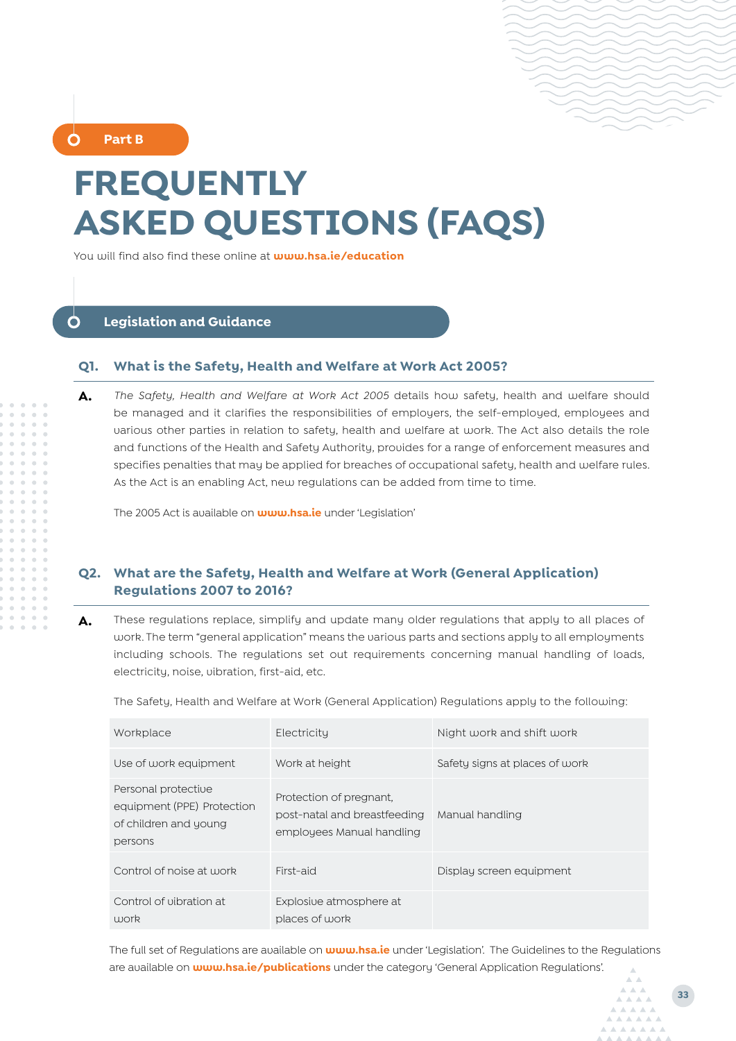**Part B** 

## **FREQUENTLY ASKED QUESTIONS (FAQS)**

You will find also find these online at **www.hsa.ie/education**

#### <span id="page-4-0"></span> $\mathbf{\Omega}$ **Legislation and Guidance**

#### **Q1. What is the Safety, Health and Welfare at Work Act 2005?**

**A.** *The Safety, Health and Welfare at Work Act 2005* details how safety, health and welfare should be managed and it clarifies the responsibilities of employers, the self-employed, employees and various other parties in relation to safety, health and welfare at work. The Act also details the role and functions of the Health and Safety Authority, provides for a range of enforcement measures and specifies penalties that may be applied for breaches of occupational safety, health and welfare rules. As the Act is an enabling Act, new regulations can be added from time to time.

The 2005 Act is available on **www.hsa.ie** under 'Legislation'

### **Q2. What are the Safety, Health and Welfare at Work (General Application) Regulations 2007 to 2016?**

**A.** These regulations replace, simplify and update many older regulations that apply to all places of work. The term "general application" means the various parts and sections apply to all employments including schools. The regulations set out requirements concerning manual handling of loads, electricity, noise, vibration, first-aid, etc.

The Safety, Health and Welfare at Work (General Application) Regulations apply to the following:

| Workplace                                                                             | Electricity                                                                          | Night work and shift work      |
|---------------------------------------------------------------------------------------|--------------------------------------------------------------------------------------|--------------------------------|
| Use of work equipment                                                                 | Work at height                                                                       | Safety signs at places of work |
| Personal protective<br>equipment (PPE) Protection<br>of children and young<br>persons | Protection of pregnant.<br>post-natal and breastfeeding<br>employees Manual handling | Manual handling                |
| Control of noise at work                                                              | First-aid                                                                            | Display screen equipment       |
| Control of uibration at<br>work                                                       | Explosiue atmosphere at<br>places of work                                            |                                |

The full set of Regulations are available on **<www.hsa.ie>** under 'Legislation'. The Guidelines to the Regulations are available on **[www.hsa.ie/publications](www.hsa.ie/Publications)** under the category 'General Application Regulations'.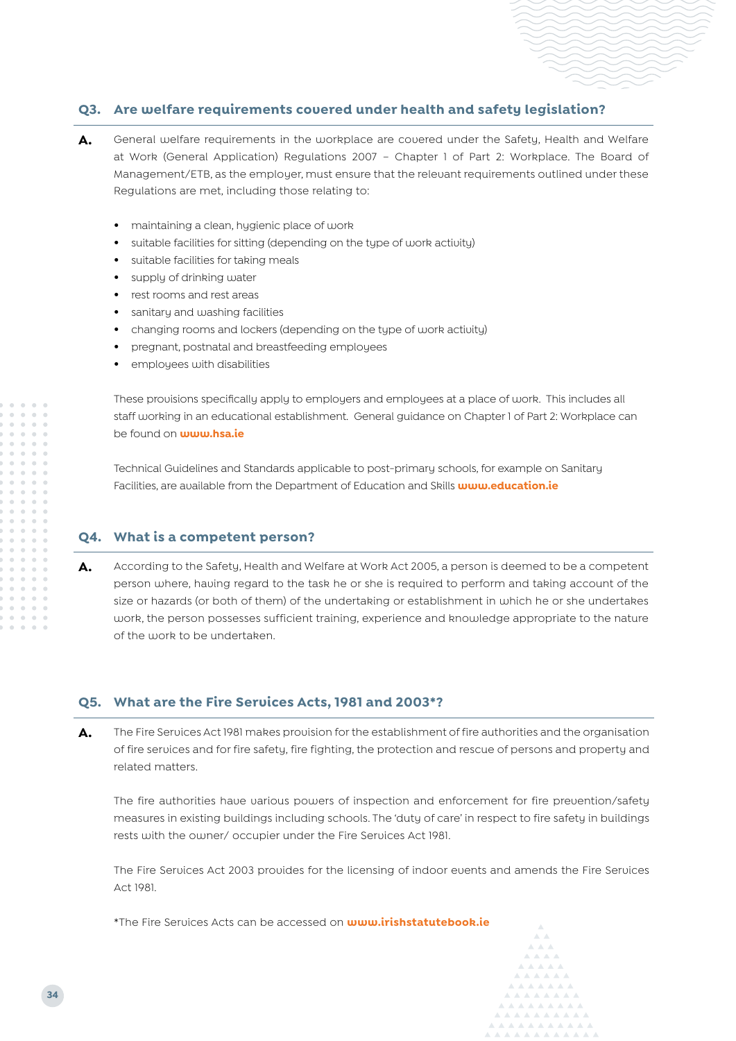#### **Q3. Are welfare requirements covered under health and safety legislation?**

- A. General welfare requirements in the workplace are covered under the Safety, Health and Welfare at Work (General Application) Regulations 2007 – Chapter 1 of Part 2: Workplace. The Board of Management/ETB, as the employer, must ensure that the relevant requirements outlined under these Regulations are met, including those relating to:
	- **•** maintaining a clean, hygienic place of work
	- **•** suitable facilities for sitting (depending on the type of work activity)
	- **•** suitable facilities for taking meals
	- **•** supply of drinking water
	- **•** rest rooms and rest areas
	- **•** sanitary and washing facilities
	- **•** changing rooms and lockers (depending on the type of work activity)
	- **•** pregnant, postnatal and breastfeeding employees
	- **•** employees with disabilities

These provisions specifically apply to employers and employees at a place of work. This includes all staff working in an educational establishment. General guidance on Chapter 1 of Part 2: Workplace can be found on **www.hsa.ie**

Technical Guidelines and Standards applicable to post-primary schools, for example on Sanitary Facilities, are available from the Department of Education and Skills **www.education.ie**

#### **Q4. What is a competent person?**

**A.** According to the Safety, Health and Welfare at Work Act 2005, a person is deemed to be a competent person where, having regard to the task he or she is required to perform and taking account of the size or hazards (or both of them) of the undertaking or establishment in which he or she undertakes work, the person possesses sufficient training, experience and knowledge appropriate to the nature of the work to be undertaken.

#### **Q5. What are the Fire Services Acts, 1981 and 2003\*?**

**A.** The Fire Services Act 1981 makes provision for the establishment of fire authorities and the organisation of fire services and for fire safety, fire fighting, the protection and rescue of persons and property and related matters.

The fire authorities have various powers of inspection and enforcement for fire prevention/safety measures in existing buildings including schools. The 'duty of care' in respect to fire safety in buildings rests with the owner/ occupier under the Fire Services Act 1981.

The Fire Services Act 2003 provides for the licensing of indoor events and amends the Fire Services Act 1981.

\*The Fire Services Acts can be accessed on **www.irishstatutebook.ie**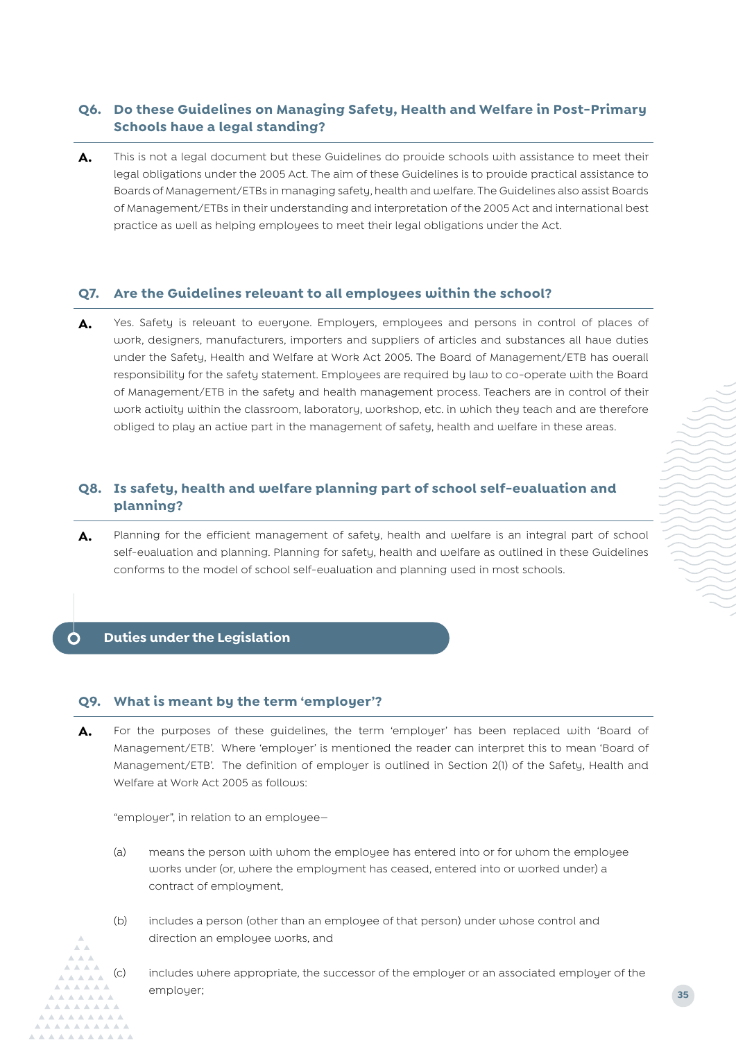## **Q6. Do these Guidelines on Managing Safety, Health and Welfare in Post-Primary Schools have a legal standing?**

A. This is not a legal document but these Guidelines do provide schools with assistance to meet their legal obligations under the 2005 Act. The aim of these Guidelines is to provide practical assistance to Boards of Management/ETBs in managing safety, health and welfare. The Guidelines also assist Boards of Management/ETBs in their understanding and interpretation of the 2005 Act and international best practice as well as helping employees to meet their legal obligations under the Act.

#### **Q7. Are the Guidelines relevant to all employees within the school?**

A. Yes. Safety is relevant to everyone. Employers, employees and persons in control of places of work, designers, manufacturers, importers and suppliers of articles and substances all have duties under the Safety, Health and Welfare at Work Act 2005. The Board of Management/ETB has overall responsibility for the safety statement. Employees are required by law to co-operate with the Board of Management/ETB in the safety and health management process. Teachers are in control of their work activity within the classroom, laboratory, workshop, etc. in which they teach and are therefore obliged to play an active part in the management of safety, health and welfare in these areas.

#### **Q8. Is safety, health and welfare planning part of school self-evaluation and planning?**

**A.** Planning for the efficient management of safety, health and welfare is an integral part of school self-evaluation and planning. Planning for safety, health and welfare as outlined in these Guidelines conforms to the model of school self-evaluation and planning used in most schools.

#### <span id="page-6-0"></span>Ò **Duties under the Legislation**

#### **Q9. What is meant by the term 'employer'?**

**A.** For the purposes of these guidelines, the term 'employer' has been replaced with 'Board of Management/ETB'. Where 'employer' is mentioned the reader can interpret this to mean 'Board of Management/ETB'. The definition of employer is outlined in Section 2(1) of the Safety, Health and Welfare at Work Act 2005 as follows:

"employer", in relation to an employee—

- (a) means the person with whom the employee has entered into or for whom the employee works under (or, where the employment has ceased, entered into or worked under) a contract of employment,
- (b) includes a person (other than an employee of that person) under whose control and direction an employee works, and
- (c) includes where appropriate, the successor of the employer or an associated employer of the employer;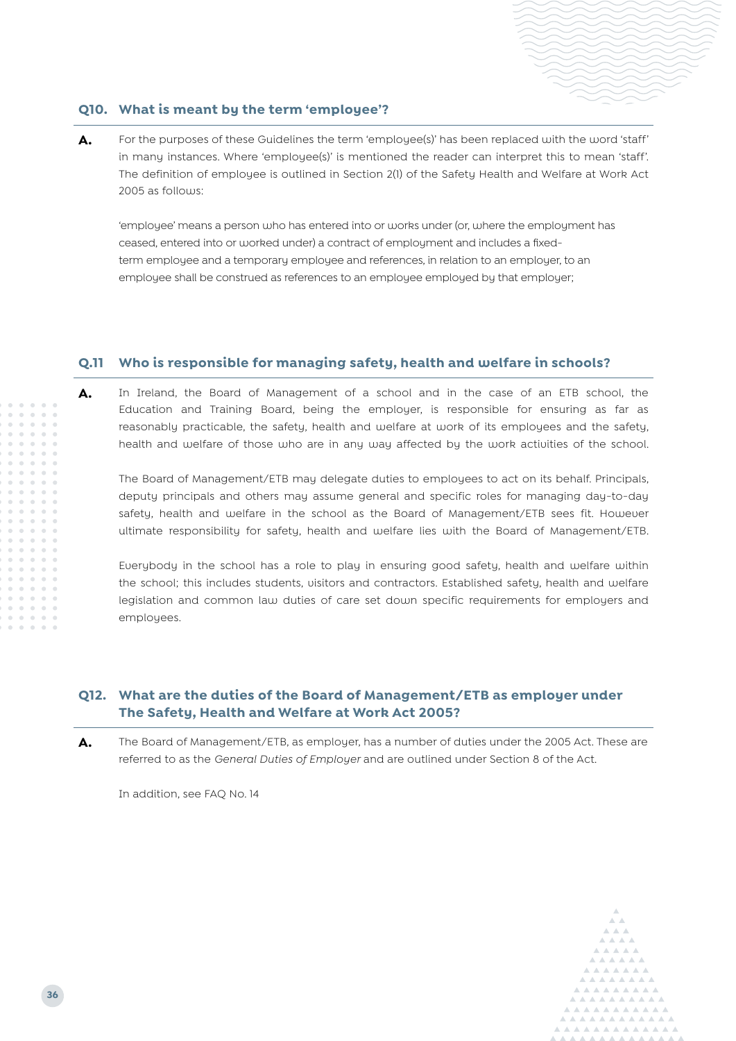

#### **Q10. What is meant by the term 'employee'?**

**A.** For the purposes of these Guidelines the term 'employee(s)' has been replaced with the word 'staff' in many instances. Where 'employee(s)' is mentioned the reader can interpret this to mean 'staff'. The definition of employee is outlined in Section 2(1) of the Safety Health and Welfare at Work Act 2005 as follows:

'employee' means a person who has entered into or works under (or, where the employment has ceased, entered into or worked under) a contract of employment and includes a fixedterm employee and a temporary employee and references, in relation to an employer, to an employee shall be construed as references to an employee employed by that employer;

#### **Q.11 Who is responsible for managing safety, health and welfare in schools?**

**A.** In Ireland, the Board of Management of a school and in the case of an ETB school, the Education and Training Board, being the employer, is responsible for ensuring as far as reasonably practicable, the safety, health and welfare at work of its employees and the safety, health and welfare of those who are in any way affected by the work activities of the school.

The Board of Management/ETB may delegate duties to employees to act on its behalf. Principals, deputy principals and others may assume general and specific roles for managing day-to-day safety, health and welfare in the school as the Board of Management/ETB sees fit. However ultimate responsibility for safety, health and welfare lies with the Board of Management/ETB.

Everybody in the school has a role to play in ensuring good safety, health and welfare within the school; this includes students, visitors and contractors. Established safety, health and welfare legislation and common law duties of care set down specific requirements for employers and employees.

#### **Q12. What are the duties of the Board of Management/ETB as employer under The Safety, Health and Welfare at Work Act 2005?**

**A.** The Board of Management/ETB, as employer, has a number of duties under the 2005 Act. These are referred to as the *General Duties of Employer* and are outlined under Section 8 of the Act.

In addition, see FAQ No. 14

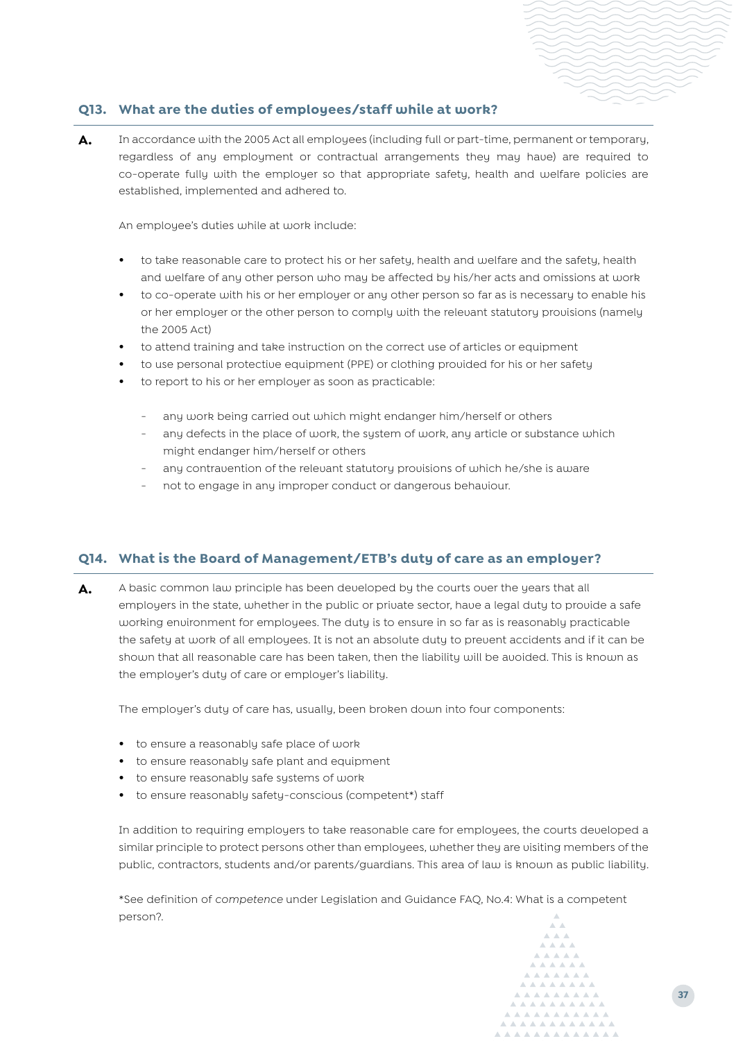#### **Q13. What are the duties of employees/staff while at work?**

**A.** In accordance with the 2005 Act all employees (including full or part-time, permanent or temporary, regardless of any employment or contractual arrangements they may have) are required to co-operate fully with the employer so that appropriate safety, health and welfare policies are established, implemented and adhered to.

An employee's duties while at work include:

- **•** to take reasonable care to protect his or her safety, health and welfare and the safety, health and welfare of any other person who may be affected by his/her acts and omissions at work
- **•** to co-operate with his or her employer or any other person so far as is necessary to enable his or her employer or the other person to comply with the relevant statutory provisions (namely the 2005 Act)
- **•** to attend training and take instruction on the correct use of articles or equipment
- **•** to use personal protective equipment (PPE) or clothing provided for his or her safety
- **•** to report to his or her employer as soon as practicable:
	- any work being carried out which might endanger him/herself or others
	- any defects in the place of work, the system of work, any article or substance which might endanger him/herself or others
	- any contravention of the relevant statutory provisions of which he/she is aware
	- not to engage in any improper conduct or dangerous behaviour.

#### **Q14. What is the Board of Management/ETB's duty of care as an employer?**

**A.** A basic common law principle has been developed by the courts over the years that all employers in the state, whether in the public or private sector, have a legal duty to provide a safe working environment for employees. The duty is to ensure in so far as is reasonably practicable the safety at work of all employees. It is not an absolute duty to prevent accidents and if it can be shown that all reasonable care has been taken, then the liability will be avoided. This is known as the employer's duty of care or employer's liability.

The employer's duty of care has, usually, been broken down into four components:

- **•** to ensure a reasonably safe place of work
- **•** to ensure reasonably safe plant and equipment
- **•** to ensure reasonably safe systems of work
- **•** to ensure reasonably safety-conscious (competent\*) staff

In addition to requiring employers to take reasonable care for employees, the courts developed a similar principle to protect persons other than employees, whether they are visiting members of the public, contractors, students and/or parents/guardians. This area of law is known as public liability.

\*See definition of *competence* under Legislation and Guidance FAQ, No.4: What is a competent person?.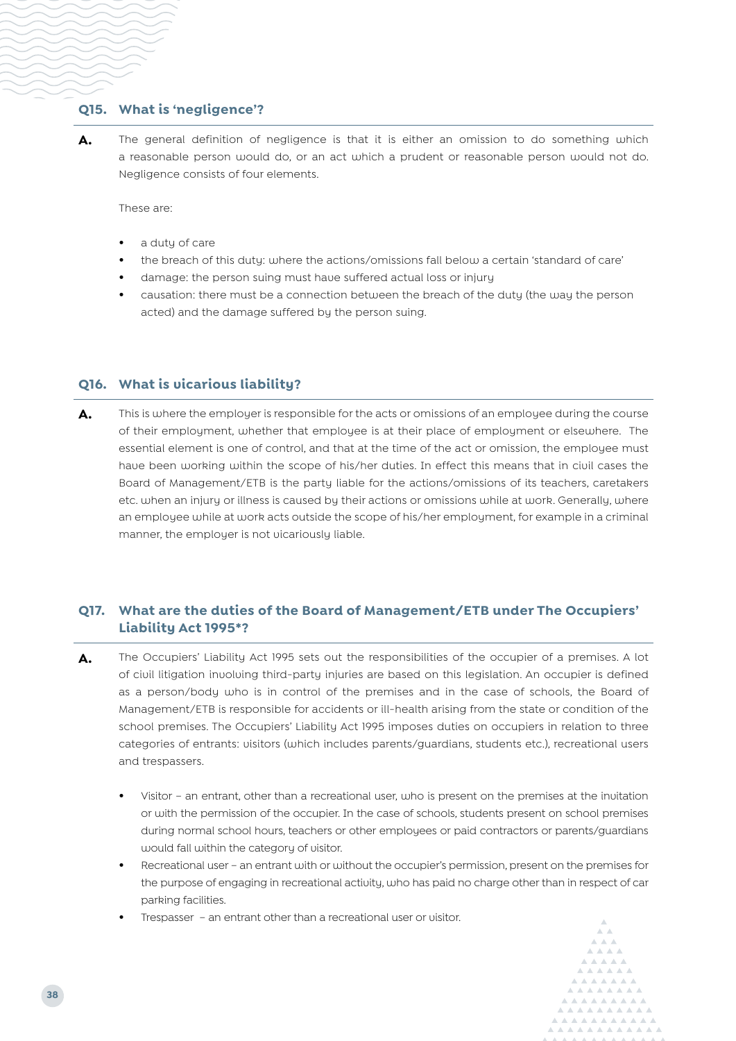#### **Q15. What is 'negligence'?**

**A.** The general definition of negligence is that it is either an omission to do something which a reasonable person would do, or an act which a prudent or reasonable person would not do. Negligence consists of four elements.

These are:

- **•** a duty of care
- **•** the breach of this duty: where the actions/omissions fall below a certain 'standard of care'
- **•** damage: the person suing must have suffered actual loss or injury
- **•** causation: there must be a connection between the breach of the duty (the way the person acted) and the damage suffered by the person suing.

#### **Q16. What is vicarious liability?**

A. This is where the employer is responsible for the acts or omissions of an employee during the course of their employment, whether that employee is at their place of employment or elsewhere. The essential element is one of control, and that at the time of the act or omission, the employee must have been working within the scope of his/her duties. In effect this means that in civil cases the Board of Management/ETB is the party liable for the actions/omissions of its teachers, caretakers etc. when an injury or illness is caused by their actions or omissions while at work. Generally, where an employee while at work acts outside the scope of his/her employment, for example in a criminal manner, the employer is not vicariously liable.

### **Q17. What are the duties of the Board of Management/ETB under The Occupiers' Liability Act 1995\*?**

- **A.** The Occupiers' Liability Act 1995 sets out the responsibilities of the occupier of a premises. A lot of civil litigation involving third-party injuries are based on this legislation. An occupier is defined as a person/body who is in control of the premises and in the case of schools, the Board of Management/ETB is responsible for accidents or ill-health arising from the state or condition of the school premises. The Occupiers' Liability Act 1995 imposes duties on occupiers in relation to three categories of entrants: visitors (which includes parents/guardians, students etc.), recreational users and trespassers.
	- **•** Visitor an entrant, other than a recreational user, who is present on the premises at the invitation or with the permission of the occupier. In the case of schools, students present on school premises during normal school hours, teachers or other employees or paid contractors or parents/guardians would fall within the category of visitor.
	- **•** Recreational user an entrant with or without the occupier's permission, present on the premises for the purpose of engaging in recreational activity, who has paid no charge other than in respect of car parking facilities.
	- **•** Trespasser an entrant other than a recreational user or visitor.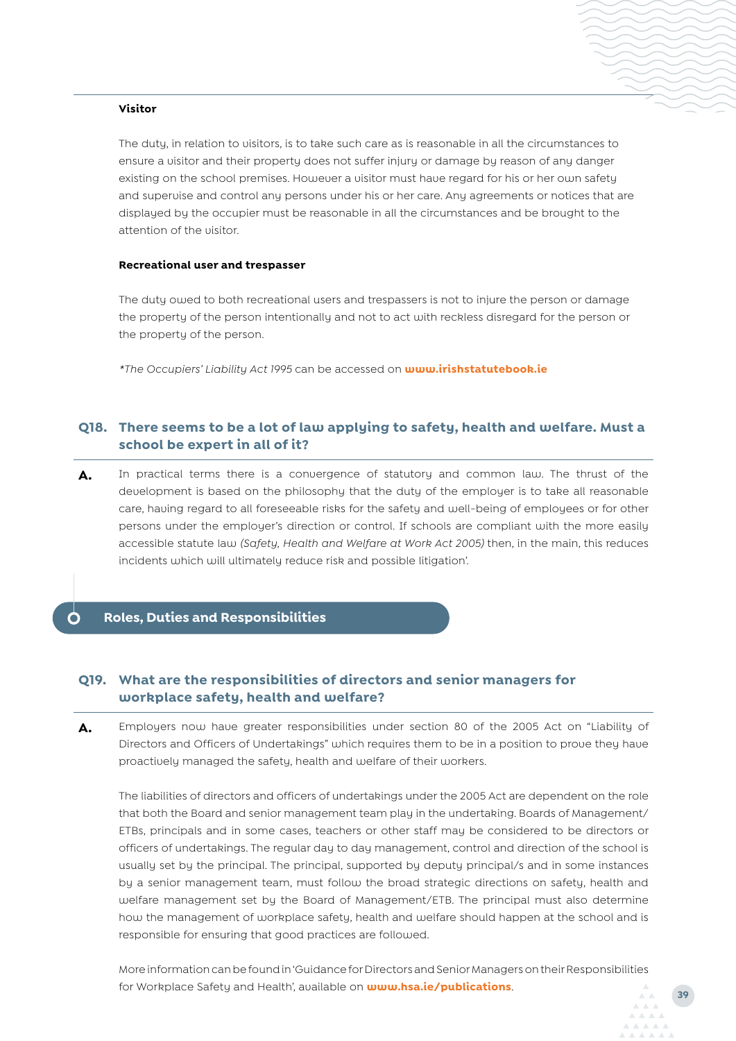#### **Visitor**

The duty, in relation to visitors, is to take such care as is reasonable in all the circumstances to ensure a visitor and their property does not suffer injury or damage by reason of any danger existing on the school premises. However a visitor must have regard for his or her own safety and supervise and control any persons under his or her care. Any agreements or notices that are displayed by the occupier must be reasonable in all the circumstances and be brought to the attention of the visitor.

#### **Recreational user and trespasser**

The duty owed to both recreational users and trespassers is not to injure the person or damage the property of the person intentionally and not to act with reckless disregard for the person or the property of the person.

*\*The Occupiers' Liability Act 1995* can be accessed on **www.irishstatutebook.ie**

#### **Q18. There seems to be a lot of law applying to safety, health and welfare. Must a school be expert in all of it?**

**A.** In practical terms there is a convergence of statutory and common law. The thrust of the development is based on the philosophy that the duty of the employer is to take all reasonable care, having regard to all foreseeable risks for the safety and well-being of employees or for other persons under the employer's direction or control. If schools are compliant with the more easily accessible statute law *(Safety, Health and Welfare at Work Act 2005)* then, in the main, this reduces incidents which will ultimately reduce risk and possible litigation'.

#### <span id="page-10-0"></span>**[Roles, Duties and Responsibilities](mailto:?subject=)**

#### **Q19. What are the responsibilities of directors and senior managers for workplace safety, health and welfare?**

**A.** Employers now have greater responsibilities under section 80 of the 2005 Act on "Liability of Directors and Officers of Undertakings" which requires them to be in a position to prove they have proactively managed the safety, health and welfare of their workers.

The liabilities of directors and officers of undertakings under the 2005 Act are dependent on the role that both the Board and senior management team play in the undertaking. Boards of Management/ ETBs, principals and in some cases, teachers or other staff may be considered to be directors or officers of undertakings. The regular day to day management, control and direction of the school is usually set by the principal. The principal, supported by deputy principal/s and in some instances by a senior management team, must follow the broad strategic directions on safety, health and welfare management set by the Board of Management/ETB. The principal must also determine how the management of workplace safety, health and welfare should happen at the school and is responsible for ensuring that good practices are followed.

More information can be found in 'Guidance for Directors and Senior Managers on their Responsibilities for Workplace Safety and Health', available on **www.hsa.ie/publications**.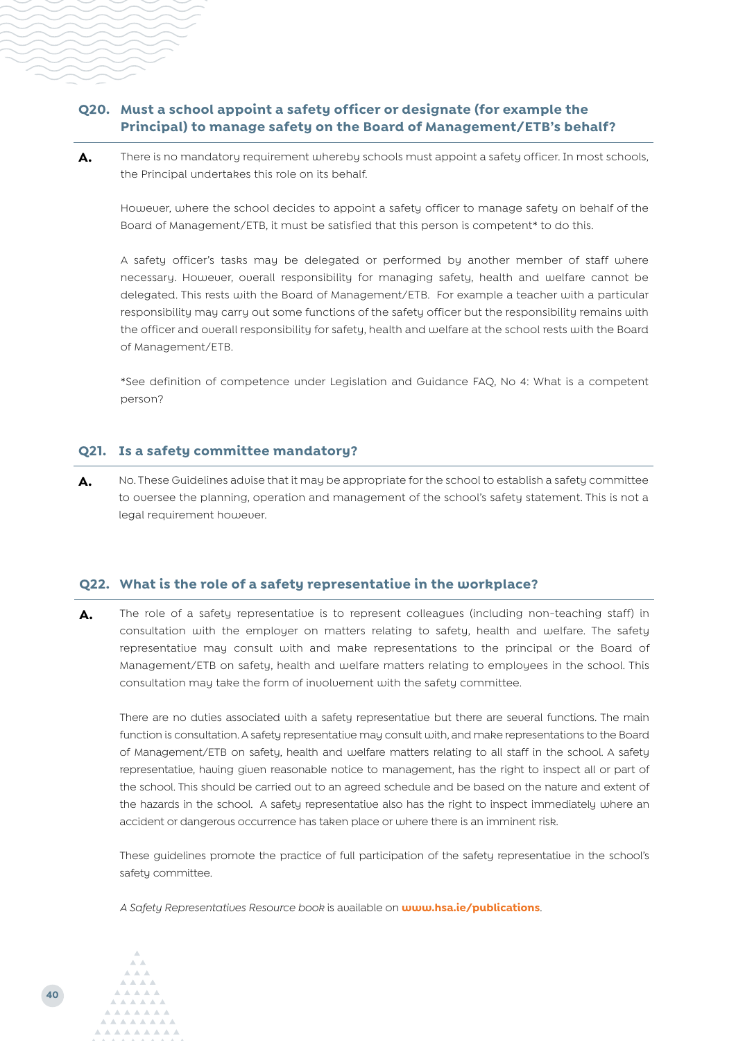#### **Q20. Must a school appoint a safety officer or designate (for example the Principal) to manage safety on the Board of Management/ETB's behalf?**

A. There is no mandatory requirement whereby schools must appoint a safety officer. In most schools, the Principal undertakes this role on its behalf.

However, where the school decides to appoint a safety officer to manage safety on behalf of the Board of Management/ETB, it must be satisfied that this person is competent\* to do this.

A safety officer's tasks may be delegated or performed by another member of staff where necessary. However, overall responsibility for managing safety, health and welfare cannot be delegated. This rests with the Board of Management/ETB. For example a teacher with a particular responsibility may carry out some functions of the safety officer but the responsibility remains with the officer and overall responsibility for safety, health and welfare at the school rests with the Board of Management/ETB.

\*See definition of competence under Legislation and Guidance FAQ, No 4: What is a competent person?

#### **Q21. Is a safety committee mandatory?**

A. No. These Guidelines advise that it may be appropriate for the school to establish a safety committee to oversee the planning, operation and management of the school's safety statement. This is not a legal requirement however.

#### **Q22. What is the role of a safety representative in the workplace?**

**A.** The role of a safety representative is to represent colleagues (including non-teaching staff) in consultation with the employer on matters relating to safety, health and welfare. The safety representative may consult with and make representations to the principal or the Board of Management/ETB on safety, health and welfare matters relating to employees in the school. This consultation may take the form of involvement with the safety committee.

There are no duties associated with a safety representative but there are several functions. The main function is consultation. A safety representative may consult with, and make representations to the Board of Management/ETB on safety, health and welfare matters relating to all staff in the school. A safety representative, having given reasonable notice to management, has the right to inspect all or part of the school. This should be carried out to an agreed schedule and be based on the nature and extent of the hazards in the school. A safety representative also has the right to inspect immediately where an accident or dangerous occurrence has taken place or where there is an imminent risk.

These guidelines promote the practice of full participation of the safety representative in the school's safety committee.

*A Safety Representatives Resource book* is available on **<www.hsa.ie/publications>**.

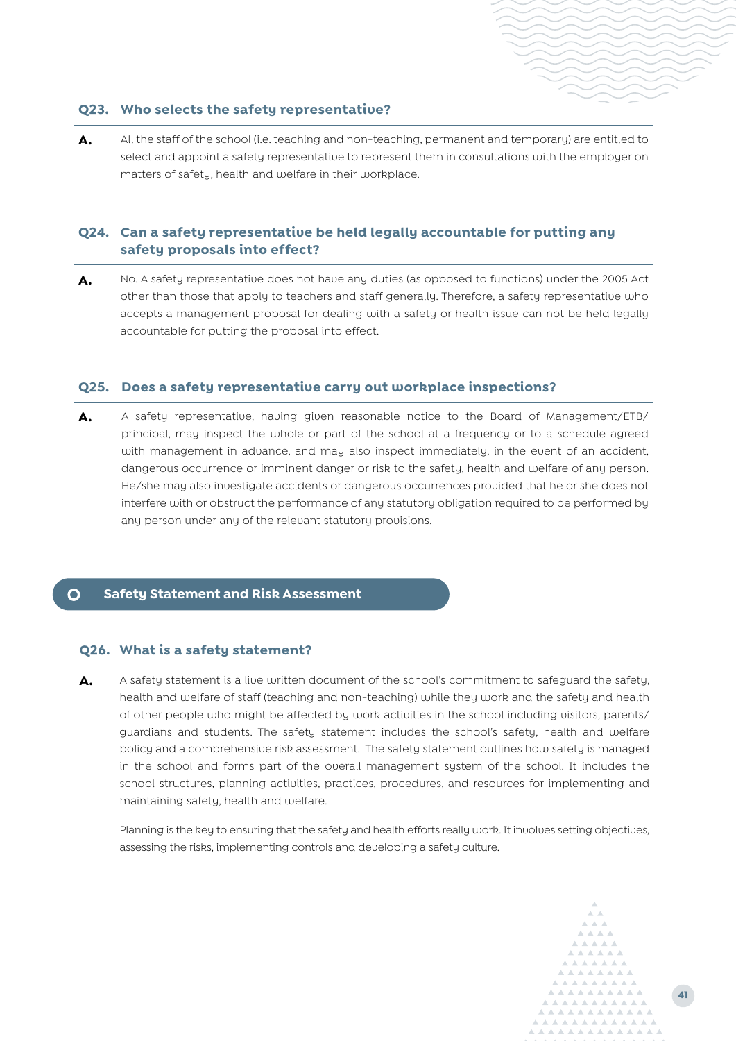#### **Q23. Who selects the safety representative?**

A. All the staff of the school (i.e. teaching and non-teaching, permanent and temporary) are entitled to select and appoint a safety representative to represent them in consultations with the employer on matters of safety, health and welfare in their workplace.

#### **Q24. Can a safety representative be held legally accountable for putting any safety proposals into effect?**

A. No. A safety representative does not have any duties (as opposed to functions) under the 2005 Act other than those that apply to teachers and staff generally. Therefore, a safety representative who accepts a management proposal for dealing with a safety or health issue can not be held legally accountable for putting the proposal into effect.

#### **Q25. Does a safety representative carry out workplace inspections?**

**A.** A safety representative, having given reasonable notice to the Board of Management/ETB/ principal, may inspect the whole or part of the school at a frequency or to a schedule agreed with management in advance, and may also inspect immediately, in the event of an accident, dangerous occurrence or imminent danger or risk to the safety, health and welfare of any person. He/she may also investigate accidents or dangerous occurrences provided that he or she does not interfere with or obstruct the performance of any statutory obligation required to be performed by any person under any of the relevant statutory provisions.

#### <span id="page-12-0"></span>**Safety Statement and Risk Assessment**

#### **Q26. What is a safety statement?**

A. A safety statement is a live written document of the school's commitment to safeguard the safety, health and welfare of staff (teaching and non-teaching) while they work and the safety and health of other people who might be affected by work activities in the school including visitors, parents/ guardians and students. The safety statement includes the school's safety, health and welfare policy and a comprehensive risk assessment. The safety statement outlines how safety is managed in the school and forms part of the overall management system of the school. It includes the school structures, planning activities, practices, procedures, and resources for implementing and maintaining safety, health and welfare.

Planning is the key to ensuring that the safety and health efforts really work. It involves setting objectives, assessing the risks, implementing controls and developing a safety culture.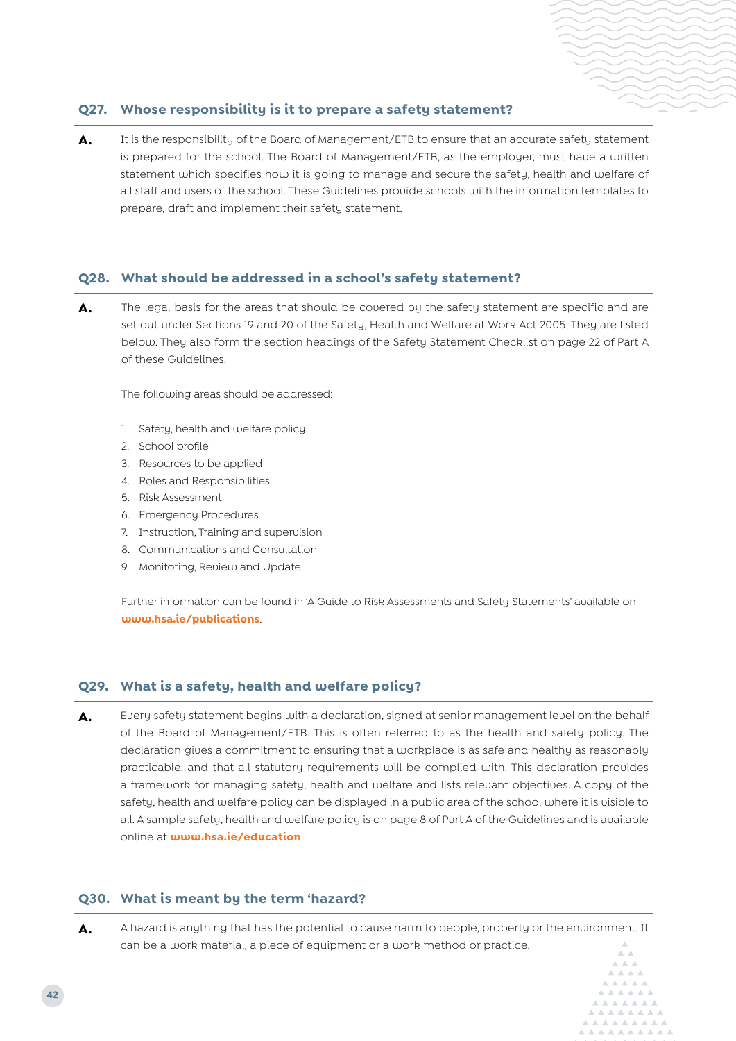#### **Q27. Whose responsibility is it to prepare a safety statement?**

A. It is the responsibility of the Board of Management/ETB to ensure that an accurate safety statement is prepared for the school. The Board of Management/ETB, as the employer, must have a written statement which specifies how it is going to manage and secure the safety, health and welfare of all staff and users of the school. These Guidelines provide schools with the information templates to prepare, draft and implement their safety statement.

#### **Q28. What should be addressed in a school's safety statement?**

A. The legal basis for the areas that should be covered by the safety statement are specific and are set out under Sections 19 and 20 of the Safety, Health and Welfare at Work Act 2005. They are listed below. They also form the section headings of the Safety Statement Checklist on page 22 of Part A of these Guidelines.

The following areas should be addressed:

- 1. Safety, health and welfare policy
- 2. School profile
- 3. Resources to be applied
- 4. Roles and Responsibilities
- 5. Risk Assessment
- 6. Emergency Procedures
- 7. Instruction, Training and supervision
- 8. Communications and Consultation
- 9. Monitoring, Review and Update

Further information can be found in 'A Guide to Risk Assessments and Safety Statements' available on **<www.hsa.ie/publications>**.

#### **Q29. What is a safety, health and welfare policy?**

A. Every safety statement begins with a declaration, signed at senior management level on the behalf of the Board of Management/ETB. This is often referred to as the health and safety policy. The declaration gives a commitment to ensuring that a workplace is as safe and healthy as reasonably practicable, and that all statutory requirements will be complied with. This declaration provides a framework for managing safety, health and welfare and lists relevant objectives. A copy of the safety, health and welfare policy can be displayed in a public area of the school where it is visible to all. A sample safety, health and welfare policy is on page 8 of Part A of the Guidelines and is available online at **www.hsa.ie/education**.

#### **Q30. What is meant by the term 'hazard?**

A. A hazard is anything that has the potential to cause harm to people, property or the environment. It can be a work material, a piece of equipment or a work method or practice.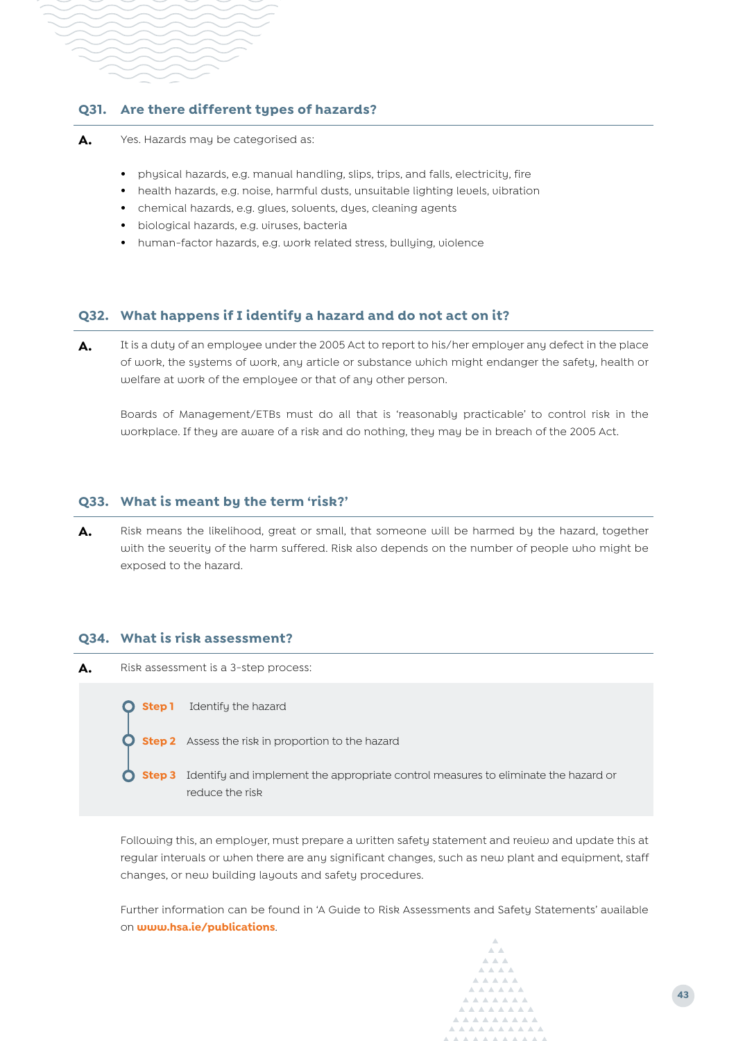#### **Q31. Are there different types of hazards?**

- A. Yes. Hazards may be categorised as:
	- **•** physical hazards, e.g. manual handling, slips, trips, and falls, electricity, fire
	- **•** health hazards, e.g. noise, harmful dusts, unsuitable lighting levels, vibration
	- **•** chemical hazards, e.g. glues, solvents, dyes, cleaning agents
	- **•** biological hazards, e.g. viruses, bacteria
	- **•** human-factor hazards, e.g. work related stress, bullying, violence

#### **Q32. What happens if I identify a hazard and do not act on it?**

A. It is a duty of an employee under the 2005 Act to report to his/her employer any defect in the place of work, the systems of work, any article or substance which might endanger the safety, health or welfare at work of the employee or that of any other person.

Boards of Management/ETBs must do all that is 'reasonably practicable' to control risk in the workplace. If they are aware of a risk and do nothing, they may be in breach of the 2005 Act.

#### **Q33. What is meant by the term 'risk?'**

A. Risk means the likelihood, great or small, that someone will be harmed by the hazard, together with the severity of the harm suffered. Risk also depends on the number of people who might be exposed to the hazard.

#### **Q34. What is risk assessment?**



Following this, an employer, must prepare a written safety statement and review and update this at regular intervals or when there are any significant changes, such as new plant and equipment, staff changes, or new building layouts and safety procedures.

Further information can be found in 'A Guide to Risk Assessments and Safety Statements' available on **<www.hsa.ie/publications>**.

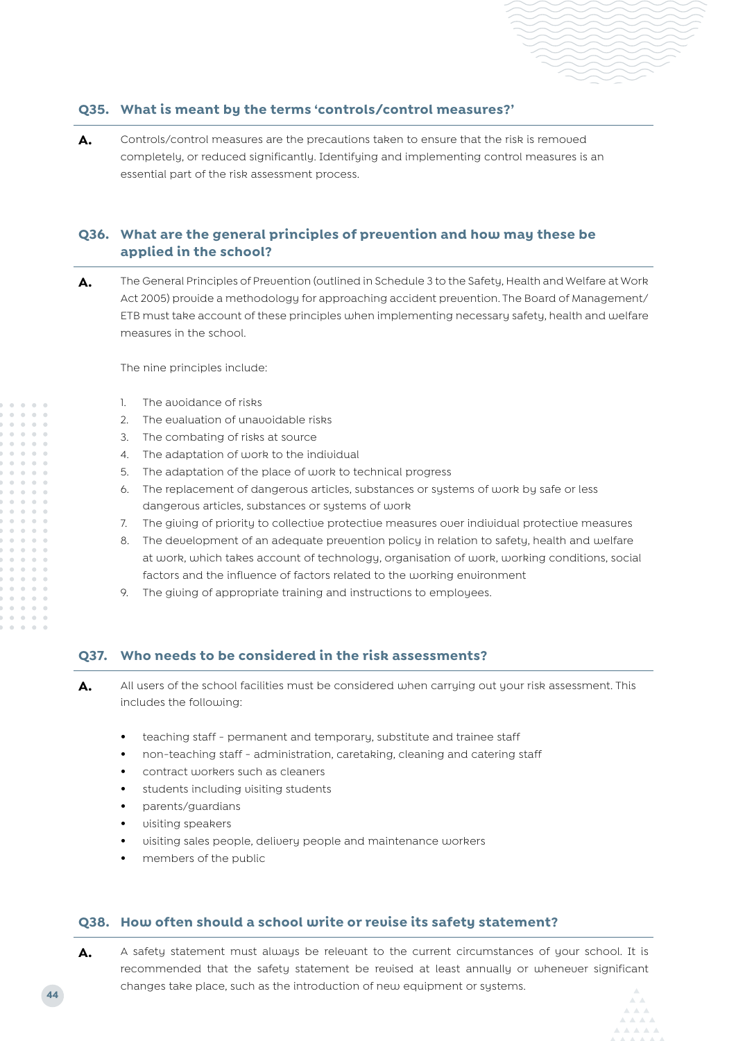#### **Q35. What is meant by the terms 'controls/control measures?'**

A. Controls/control measures are the precautions taken to ensure that the risk is removed completely, or reduced significantly. Identifying and implementing control measures is an essential part of the risk assessment process.

#### **Q36. What are the general principles of prevention and how may these be applied in the school?**

**A.** The General Principles of Prevention (outlined in Schedule 3 to the Safety, Health and Welfare at Work Act 2005) provide a methodology for approaching accident prevention. The Board of Management/ ETB must take account of these principles when implementing necessary safety, health and welfare measures in the school.

The nine principles include:

- 1. The avoidance of risks
- 2. The evaluation of unavoidable risks
- 3. The combating of risks at source
- 4. The adaptation of work to the individual
- 5. The adaptation of the place of work to technical progress
- 6. The replacement of dangerous articles, substances or systems of work by safe or less dangerous articles, substances or systems of work
- 7. The giving of priority to collective protective measures over individual protective measures
- 8. The development of an adequate prevention policy in relation to safety, health and welfare at work, which takes account of technology, organisation of work, working conditions, social factors and the influence of factors related to the working environment
- 9. The giving of appropriate training and instructions to employees.

#### **Q37. Who needs to be considered in the risk assessments?**

**A.** All users of the school facilities must be considered when carrying out your risk assessment. This includes the following:

- **•** teaching staff permanent and temporary, substitute and trainee staff
- **•** non-teaching staff administration, caretaking, cleaning and catering staff
- **•** contract workers such as cleaners
- **•** students including visiting students
- **•** parents/guardians
- **•** visiting speakers
- **•** visiting sales people, delivery people and maintenance workers
- **•** members of the public

#### **Q38. How often should a school write or revise its safety statement?**

A. A safety statement must always be relevant to the current circumstances of your school. It is recommended that the safety statement be revised at least annually or whenever significant changes take place, such as the introduction of new equipment or systems.

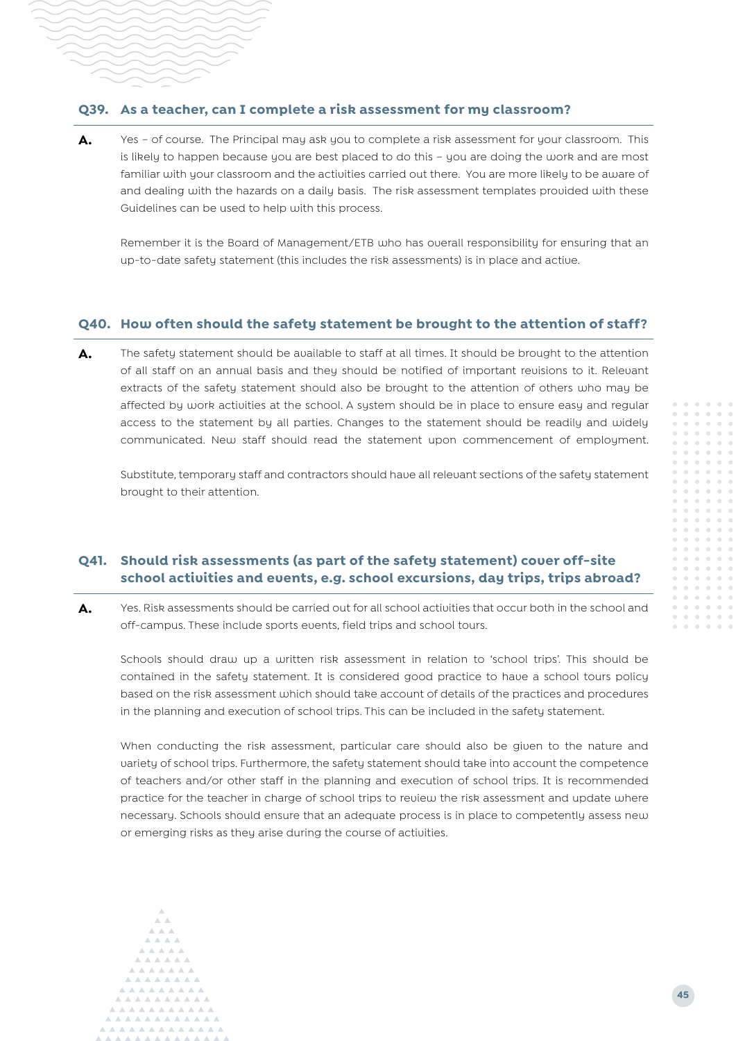#### **Q39. As a teacher, can I complete a risk assessment for my classroom?**

A. Yes – of course. The Principal may ask you to complete a risk assessment for your classroom. This is likely to happen because you are best placed to do this – you are doing the work and are most familiar with your classroom and the activities carried out there. You are more likely to be aware of and dealing with the hazards on a daily basis. The risk assessment templates provided with these Guidelines can be used to help with this process.

Remember it is the Board of Management/ETB who has overall responsibility for ensuring that an up-to-date safety statement (this includes the risk assessments) is in place and active.

#### **Q40. How often should the safety statement be brought to the attention of staff?**

A. The safety statement should be available to staff at all times. It should be brought to the attention of all staff on an annual basis and they should be notified of important revisions to it. Relevant extracts of the safety statement should also be brought to the attention of others who may be affected by work activities at the school. A system should be in place to ensure easy and regular access to the statement by all parties. Changes to the statement should be readily and widely communicated. New staff should read the statement upon commencement of employment.

Substitute, temporary staff and contractors should have all relevant sections of the safety statement brought to their attention.

#### **Q41. Should risk assessments (as part of the safety statement) cover off-site school activities and events, e.g. school excursions, day trips, trips abroad?**

A. Yes. Risk assessments should be carried out for all school activities that occur both in the school and off-campus. These include sports events, field trips and school tours.

Schools should draw up a written risk assessment in relation to 'school trips'. This should be contained in the safety statement. It is considered good practice to have a school tours policy based on the risk assessment which should take account of details of the practices and procedures in the planning and execution of school trips. This can be included in the safety statement.

When conducting the risk assessment, particular care should also be given to the nature and variety of school trips. Furthermore, the safety statement should take into account the competence of teachers and/or other staff in the planning and execution of school trips. It is recommended practice for the teacher in charge of school trips to review the risk assessment and update where necessary. Schools should ensure that an adequate process is in place to competently assess new or emerging risks as they arise during the course of activities.

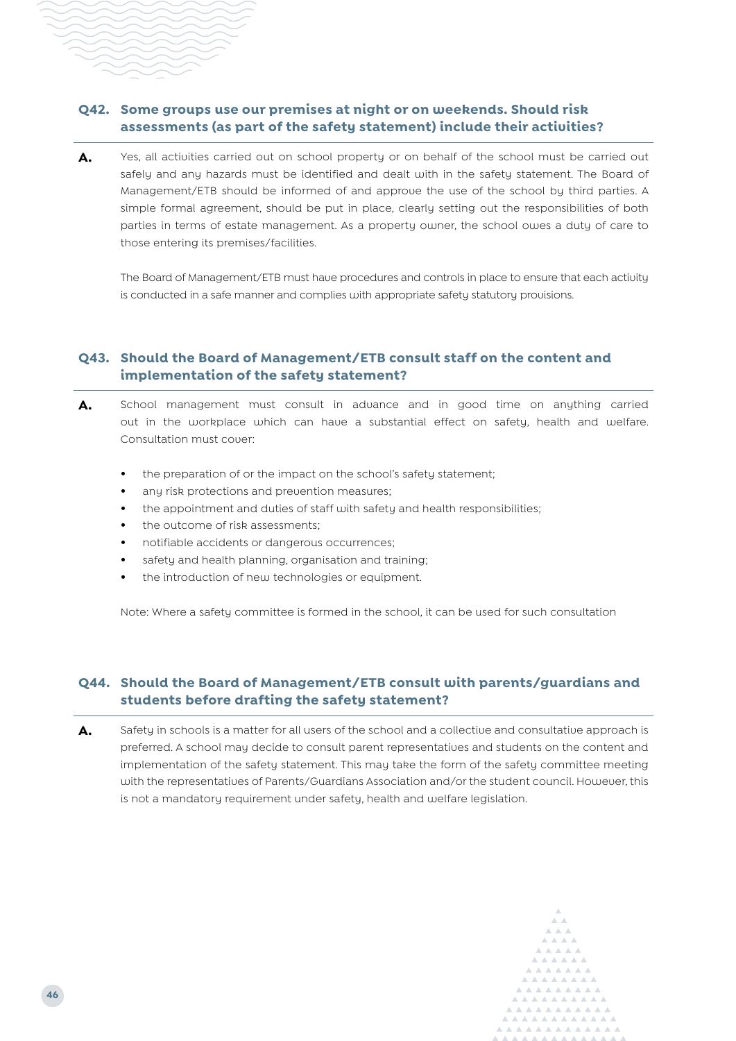### **Q42. Some groups use our premises at night or on weekends. Should risk assessments (as part of the safety statement) include their activities?**

A. Yes, all activities carried out on school property or on behalf of the school must be carried out safely and any hazards must be identified and dealt with in the safety statement. The Board of Management/ETB should be informed of and approve the use of the school by third parties. A simple formal agreement, should be put in place, clearly setting out the responsibilities of both parties in terms of estate management. As a property owner, the school owes a duty of care to those entering its premises/facilities.

The Board of Management/ETB must have procedures and controls in place to ensure that each activity is conducted in a safe manner and complies with appropriate safety statutory provisions.

#### **Q43. Should the Board of Management/ETB consult staff on the content and implementation of the safety statement?**

- **A.** School management must consult in advance and in good time on anything carried out in the workplace which can have a substantial effect on safety, health and welfare. Consultation must cover:
	- **•** the preparation of or the impact on the school's safety statement;
	- **•** any risk protections and prevention measures;
	- **•** the appointment and duties of staff with safety and health responsibilities;
	- **•** the outcome of risk assessments;
	- **•** notifiable accidents or dangerous occurrences;
	- **•** safety and health planning, organisation and training;
	- **•** the introduction of new technologies or equipment.

Note: Where a safety committee is formed in the school, it can be used for such consultation

#### **Q44. Should the Board of Management/ETB consult with parents/guardians and students before drafting the safety statement?**

A. Safety in schools is a matter for all users of the school and a collective and consultative approach is preferred. A school may decide to consult parent representatives and students on the content and implementation of the safety statement. This may take the form of the safety committee meeting with the representatives of Parents/Guardians Association and/or the student council. However, this is not a mandatory requirement under safety, health and welfare legislation.

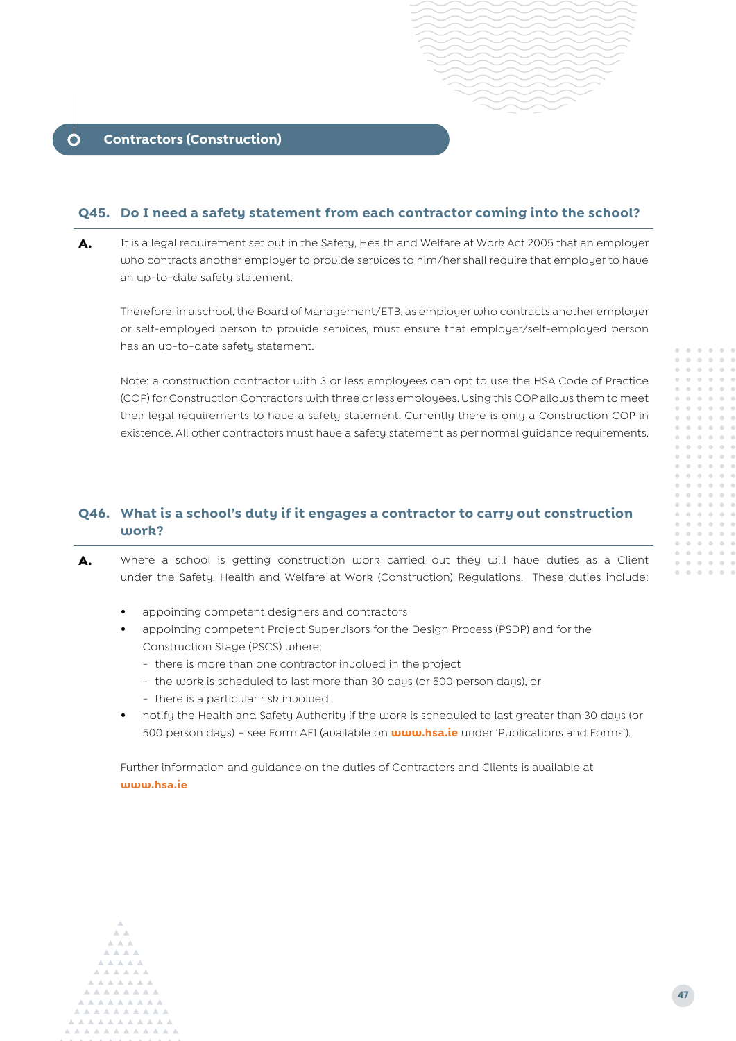#### <span id="page-18-0"></span>**Q45. Do I need a safety statement from each contractor coming into the school?**

A. It is a legal requirement set out in the Safety, Health and Welfare at Work Act 2005 that an employer who contracts another employer to provide services to him/her shall require that employer to have an up-to-date safety statement.

Therefore, in a school, the Board of Management/ETB, as employer who contracts another employer or self-employed person to provide services, must ensure that employer/self-employed person has an up-to-date safety statement.

Note: a construction contractor with 3 or less employees can opt to use the HSA Code of Practice (COP) for Construction Contractors with three or less employees. Using this COP allows them to meet their legal requirements to have a safety statement. Currently there is only a Construction COP in existence. All other contractors must have a safety statement as per normal guidance requirements.

#### **Q46. What is a school's duty if it engages a contractor to carry out construction work?**

- A. Where a school is getting construction work carried out they will have duties as a Client under the Safety, Health and Welfare at Work (Construction) Regulations. These duties include:
	- **•** appointing competent designers and contractors
	- **•** appointing competent Project Supervisors for the Design Process (PSDP) and for the Construction Stage (PSCS) where:
		- there is more than one contractor involved in the project
		- the work is scheduled to last more than 30 days (or 500 person days), or
		- there is a particular risk involved
	- **•** notify the Health and Safety Authority if the work is scheduled to last greater than 30 days (or 500 person days) – see Form AF1 (available on **www.hsa.ie** under 'Publications and Forms').

Further information and guidance on the duties of Contractors and Clients is available at **www.hsa.ie**

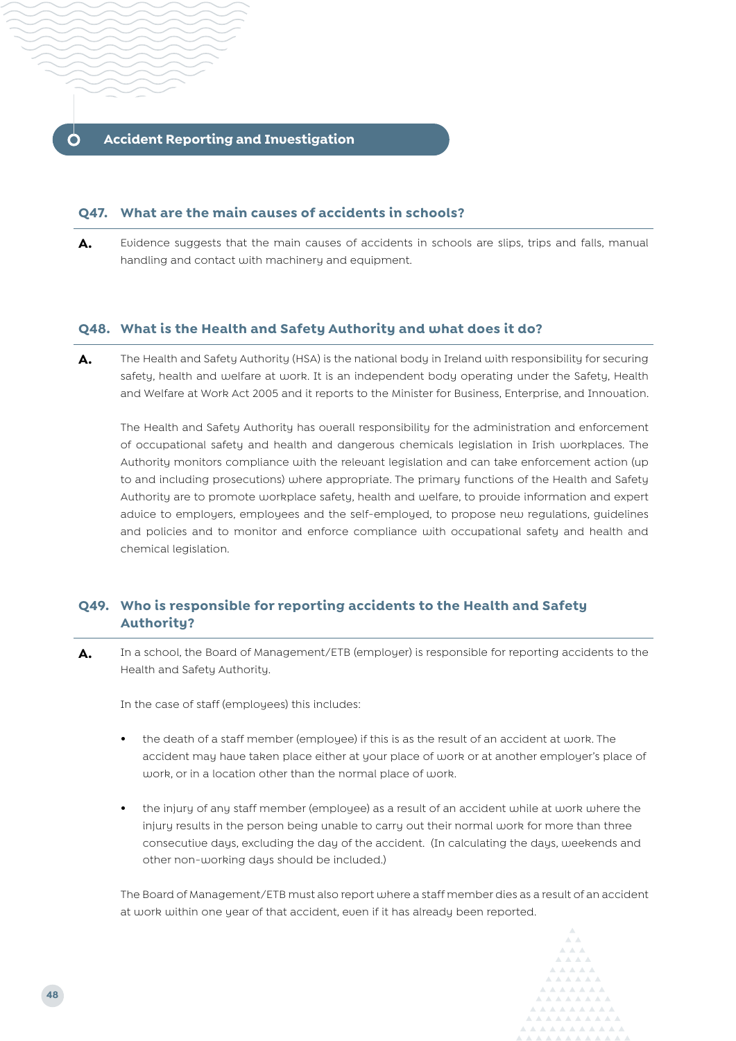#### <span id="page-19-0"></span>**Q47. What are the main causes of accidents in schools?**

**A.** Evidence suggests that the main causes of accidents in schools are slips, trips and falls, manual handling and contact with machinery and equipment.

#### **Q48. What is the Health and Safety Authority and what does it do?**

A. The Health and Safety Authority (HSA) is the national body in Ireland with responsibility for securing safety, health and welfare at work. It is an independent body operating under the Safety, Health and Welfare at Work Act 2005 and it reports to the Minister for Business, Enterprise, and Innovation.

The Health and Safety Authority has overall responsibility for the administration and enforcement of occupational safety and health and dangerous chemicals legislation in Irish workplaces. The Authority monitors compliance with the relevant legislation and can take enforcement action (up to and including prosecutions) where appropriate. The primary functions of the Health and Safety Authority are to promote workplace safety, health and welfare, to provide information and expert advice to employers, employees and the self-employed, to propose new regulations, guidelines and policies and to monitor and enforce compliance with occupational safety and health and chemical legislation.

### **Q49. Who is responsible for reporting accidents to the Health and Safety Authority?**

**A.** In a school, the Board of Management/ETB (employer) is responsible for reporting accidents to the Health and Safety Authority.

In the case of staff (employees) this includes:

- **•** the death of a staff member (employee) if this is as the result of an accident at work. The accident may have taken place either at your place of work or at another employer's place of work, or in a location other than the normal place of work.
- **•** the injury of any staff member (employee) as a result of an accident while at work where the injury results in the person being unable to carry out their normal work for more than three consecutive days, excluding the day of the accident. (In calculating the days, weekends and other non-working days should be included.)

The Board of Management/ETB must also report where a staff member dies as a result of an accident at work within one year of that accident, even if it has already been reported.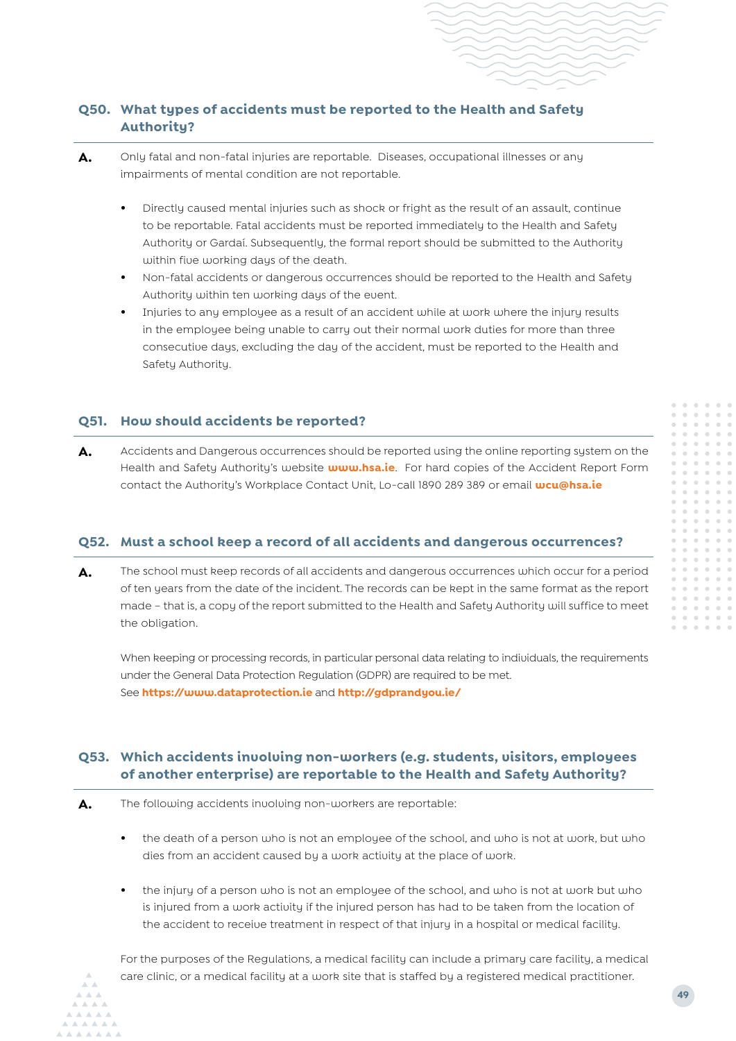## **Q50. What types of accidents must be reported to the Health and Safety Authority?**

- A. Only fatal and non-fatal injuries are reportable. Diseases, occupational illnesses or any impairments of mental condition are not reportable.
	- **•** Directly caused mental injuries such as shock or fright as the result of an assault, continue to be reportable. Fatal accidents must be reported immediately to the Health and Safety Authority or Gardaí. Subsequently, the formal report should be submitted to the Authority within five working days of the death.
	- **•** Non-fatal accidents or dangerous occurrences should be reported to the Health and Safety Authority within ten working days of the event.
	- **•** Injuries to any employee as a result of an accident while at work where the injury results in the employee being unable to carry out their normal work duties for more than three consecutive days, excluding the day of the accident, must be reported to the Health and Safety Authority.

#### **Q51. How should accidents be reported?**

A. Accidents and Dangerous occurrences should be reported using the online reporting system on the Health and Safety Authority's website **www.hsa.ie**. For hard copies of the Accident Report Form contact the Authority's Workplace Contact Unit, Lo-call 1890 289 389 or email **[wcu@hsa.ie](mailto:wcu%40hsa.ie?subject=)**

#### **Q52. Must a school keep a record of all accidents and dangerous occurrences?**

**A.** The school must keep records of all accidents and dangerous occurrences which occur for a period of ten years from the date of the incident. The records can be kept in the same format as the report made – that is, a copy of the report submitted to the Health and Safety Authority will suffice to meet the obligation.

When keeping or processing records, in particular personal data relating to individuals, the requirements under the General Data Protection Regulation (GDPR) are required to be met. See **https://www.dataprotection.ie** and **<http://gdprandyou.ie/>**

### **Q53. Which accidents involving non-workers (e.g. students, visitors, employees of another enterprise) are reportable to the Health and Safety Authority?**

- **A.** The following accidents involving non-workers are reportable:
	- **•** the death of a person who is not an employee of the school, and who is not at work, but who dies from an accident caused by a work activity at the place of work.
	- **•** the injury of a person who is not an employee of the school, and who is not at work but who is injured from a work activity if the injured person has had to be taken from the location of the accident to receive treatment in respect of that injury in a hospital or medical facility.

For the purposes of the Regulations, a medical facility can include a primary care facility, a medical care clinic, or a medical facility at a work site that is staffed by a registered medical practitioner.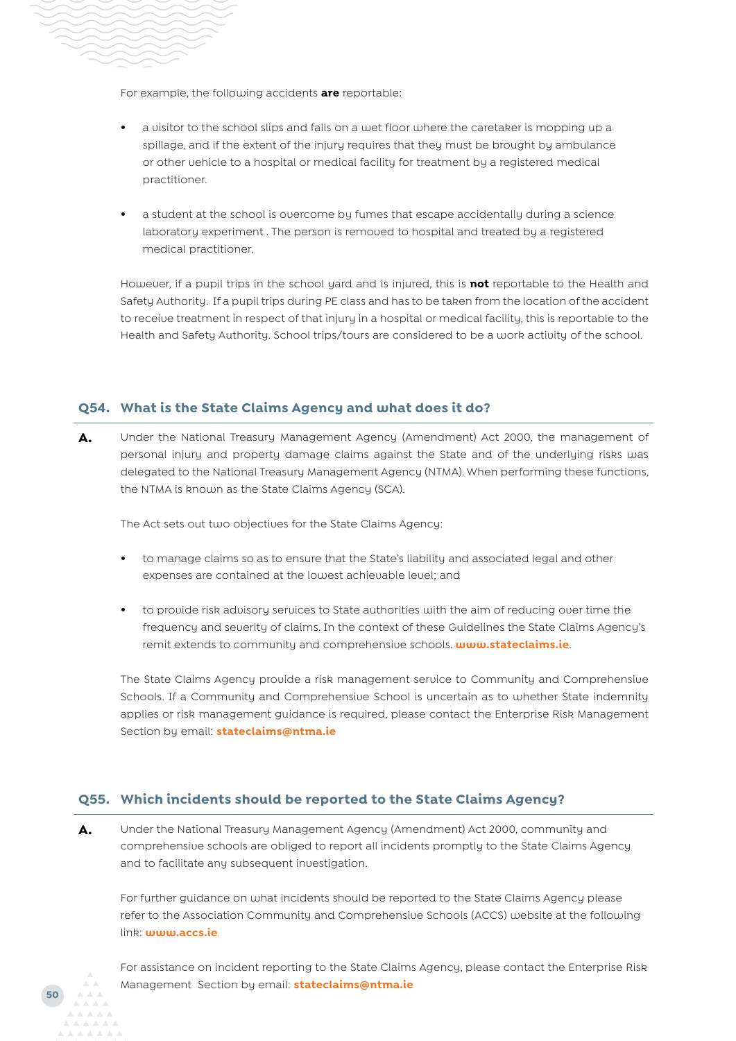

**50**

For example, the following accidents **are** reportable:

- **•** a visitor to the school slips and falls on a wet floor where the caretaker is mopping up a spillage, and if the extent of the injury requires that they must be brought by ambulance or other vehicle to a hospital or medical facility for treatment by a registered medical practitioner.
- **•** a student at the school is overcome by fumes that escape accidentally during a science laboratory experiment . The person is removed to hospital and treated by a registered medical practitioner.

However, if a pupil trips in the school yard and is injured, this is **not** reportable to the Health and Safety Authority. If a pupil trips during PE class and has to be taken from the location of the accident to receive treatment in respect of that injury in a hospital or medical facility, this is reportable to the Health and Safety Authority. School trips/tours are considered to be a work activity of the school.

#### **Q54. What is the State Claims Agency and what does it do?**

**A.** Under the National Treasury Management Agency (Amendment) Act 2000, the management of personal injury and property damage claims against the State and of the underlying risks was delegated to the National Treasury Management Agency (NTMA). When performing these functions, the NTMA is known as the State Claims Agency (SCA).

The Act sets out two objectives for the State Claims Agency:

- **•** to manage claims so as to ensure that the State's liability and associated legal and other expenses are contained at the lowest achievable level; and
- **•** to provide risk advisory services to State authorities with the aim of reducing over time the frequency and severity of claims. In the context of these Guidelines the State Claims Agency's remit extends to community and comprehensive schools. **www.stateclaims.ie**.

The State Claims Agency provide a risk management service to Community and Comprehensive Schools. If a Community and Comprehensive School is uncertain as to whether State indemnity applies or risk management guidance is required, please contact the Enterprise Risk Management Section by email: **[stateclaims@ntma.ie](mailto:stateclaims%40ntma.ie?subject=)**

#### **Q55. Which incidents should be reported to the State Claims Agency?**

**A.** Under the National Treasury Management Agency (Amendment) Act 2000, community and comprehensive schools are obliged to report all incidents promptly to the State Claims Agency and to facilitate any subsequent investigation.

For further guidance on what incidents should be reported to the State Claims Agency please refer to the Association Community and Comprehensive Schools (ACCS) website at the following link: **[www.accs.ie](http://www.accs.ie)**.

For assistance on incident reporting to the State Claims Agency, please contact the Enterprise Risk Management Section by email: **[stateclaims@ntma.ie](mailto:stateclaims%40ntma.ie?subject=)**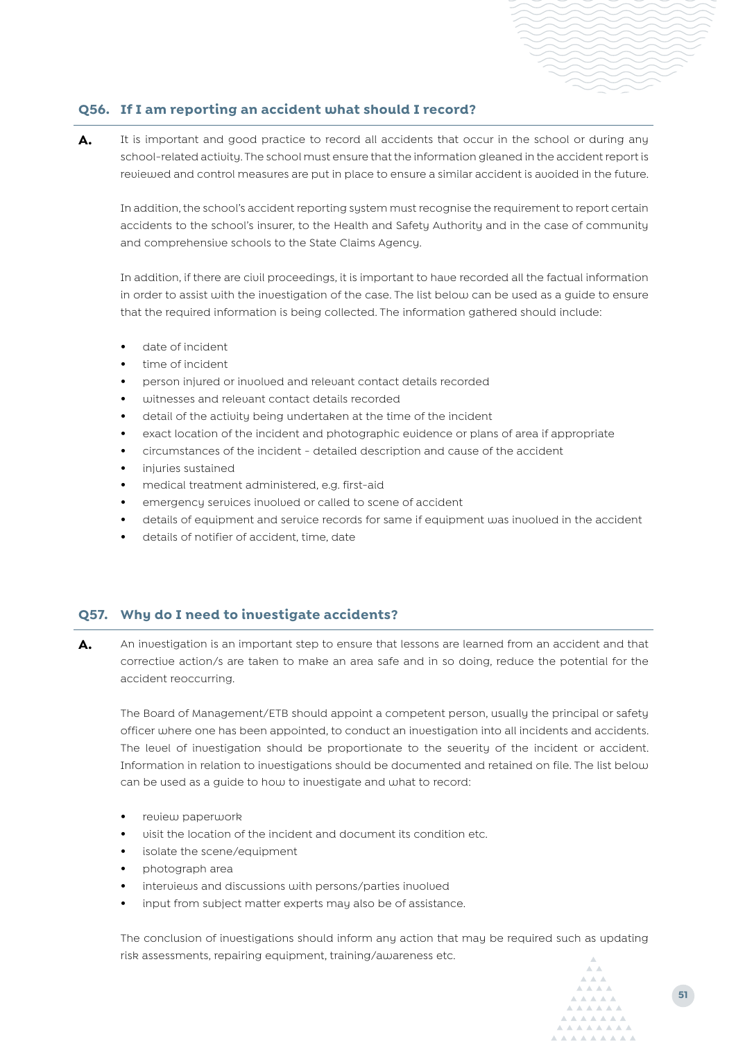### **Q56. If I am reporting an accident what should I record?**

A. It is important and good practice to record all accidents that occur in the school or during any school-related activity. The school must ensure that the information gleaned in the accident report is reviewed and control measures are put in place to ensure a similar accident is avoided in the future.

In addition, the school's accident reporting system must recognise the requirement to report certain accidents to the school's insurer, to the Health and Safety Authority and in the case of community and comprehensive schools to the State Claims Agency.

In addition, if there are civil proceedings, it is important to have recorded all the factual information in order to assist with the investigation of the case. The list below can be used as a guide to ensure that the required information is being collected. The information gathered should include:

- **•** date of incident
- **•** time of incident
- **•** person injured or involved and relevant contact details recorded
- **•** witnesses and relevant contact details recorded
- **•** detail of the activity being undertaken at the time of the incident
- **•** exact location of the incident and photographic evidence or plans of area if appropriate
- **•** circumstances of the incident detailed description and cause of the accident
- **•** injuries sustained
- **•** medical treatment administered, e.g. first-aid
- **•** emergency services involved or called to scene of accident
- **•** details of equipment and service records for same if equipment was involved in the accident
- **•** details of notifier of accident, time, date

#### **Q57. Why do I need to investigate accidents?**

**A.** An investigation is an important step to ensure that lessons are learned from an accident and that corrective action/s are taken to make an area safe and in so doing, reduce the potential for the accident reoccurring.

The Board of Management/ETB should appoint a competent person, usually the principal or safety officer where one has been appointed, to conduct an investigation into all incidents and accidents. The level of investigation should be proportionate to the severity of the incident or accident. Information in relation to investigations should be documented and retained on file. The list below can be used as a guide to how to investigate and what to record:

- **•** review paperwork
- **•** visit the location of the incident and document its condition etc.
- **•** isolate the scene/equipment
- **•** photograph area
- **•** interviews and discussions with persons/parties involved
- **•** input from subject matter experts may also be of assistance.

The conclusion of investigations should inform any action that may be required such as updating risk assessments, repairing equipment, training/awareness etc.

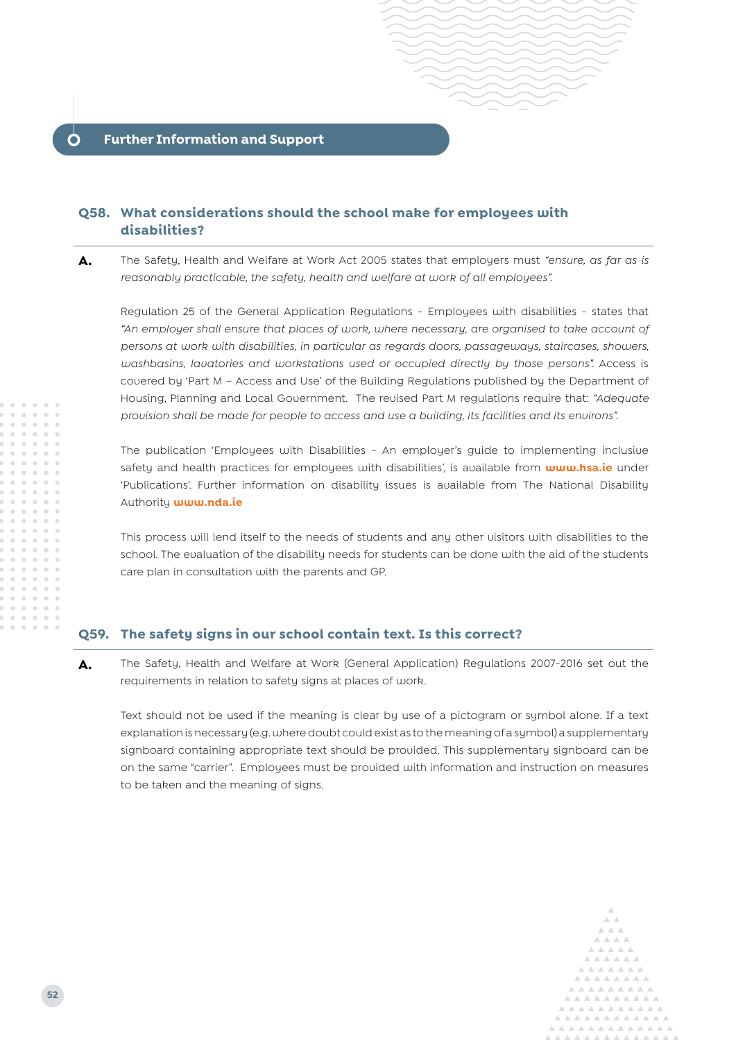#### <span id="page-23-0"></span>**Q58. What considerations should the school make for employees with disabilities?**

**A.** The Safety, Health and Welfare at Work Act 2005 states that employers must *"ensure, as far as is reasonably practicable, the safety, health and welfare at work of all employees".*

Regulation 25 of the General Application Regulations - Employees with disabilities - states that *"An employer shall ensure that places of work, where necessary, are organised to take account of persons at work with disabilities, in particular as regards doors, passageways, staircases, showers,*  washbasins, lavatories and workstations used or occupied directly by those persons". Access is covered by 'Part M – Access and Use' of the Building Regulations published by the Department of Housing, Planning and Local Government.The revised Part M regulations require that: *"Adequate provision shall be made for people to access and use a building, its facilities and its environs".*

The publication 'Employees with Disabilities - An employer's guide to implementing inclusive safety and health practices for employees with disabilities', is available from **www.hsa.ie** under 'Publications'. Further information on disability issues is available from The National Disability Authority **www.nda.ie**

This process will lend itself to the needs of students and any other visitors with disabilities to the school. The evaluation of the disability needs for students can be done with the aid of the students care plan in consultation with the parents and GP.

#### **Q59. The safety signs in our school contain text. Is this correct?**

**A.** The Safety, Health and Welfare at Work (General Application) Regulations 2007-2016 set out the requirements in relation to safety signs at places of work.

Text should not be used if the meaning is clear by use of a pictogram or symbol alone. If a text explanation is necessary (e.g. where doubt could exist as to the meaning of a symbol) a supplementary signboard containing appropriate text should be provided. This supplementary signboard can be on the same "carrier". Employees must be provided with information and instruction on measures to be taken and the meaning of signs.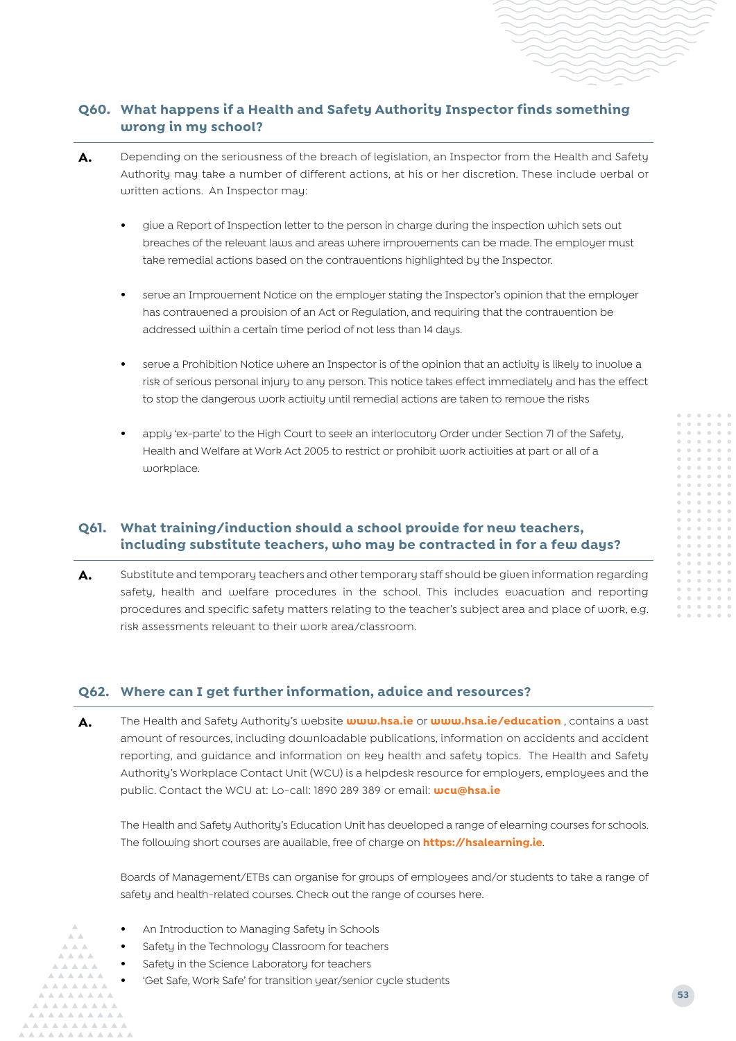## **Q60. What happens if a Health and Safety Authority Inspector finds something wrong in my school?**

- A. Depending on the seriousness of the breach of legislation, an Inspector from the Health and Safety Authority may take a number of different actions, at his or her discretion. These include verbal or written actions. An Inspector may:
	- **•** give a Report of Inspection letter to the person in charge during the inspection which sets out breaches of the relevant laws and areas where improvements can be made. The employer must take remedial actions based on the contraventions highlighted by the Inspector.
	- **•** serve an Improvement Notice on the employer stating the Inspector's opinion that the employer has contravened a provision of an Act or Regulation, and requiring that the contravention be addressed within a certain time period of not less than 14 days.
	- **•** serve a Prohibition Notice where an Inspector is of the opinion that an activity is likely to involve a risk of serious personal injury to any person. This notice takes effect immediately and has the effect to stop the dangerous work activity until remedial actions are taken to remove the risks
	- **•** apply 'ex-parte' to the High Court to seek an interlocutory Order under Section 71 of the Safety, Health and Welfare at Work Act 2005 to restrict or prohibit work activities at part or all of a workplace.

## **Q61. What training/induction should a school provide for new teachers, including substitute teachers, who may be contracted in for a few days?**

**A.** Substitute and temporary teachers and other temporary staff should be given information regarding safety, health and welfare procedures in the school. This includes evacuation and reporting procedures and specific safety matters relating to the teacher's subject area and place of work, e.g. risk assessments relevant to their work area/classroom.

#### **Q62. Where can I get further information, advice and resources?**

**A.** The Health and Safety Authority's website **www.hsa.ie** or **www.hsa.ie/education** , contains a vast amount of resources, including downloadable publications, information on accidents and accident reporting, and guidance and information on key health and safety topics. The Health and Safety Authority's Workplace Contact Unit (WCU) is a helpdesk resource for employers, employees and the public. Contact the WCU at: Lo-call: 1890 289 389 or email: **wcu@hsa.ie**

The Health and Safety Authority's Education Unit has developed a range of elearning courses for schools. The following short courses are available, free of charge on **https://hsalearning.ie**.

Boards of Management/ETBs can organise for groups of employees and/or students to take a range of safety and health-related courses. Check out the range of courses here.

- **•** An Introduction to Managing Safety in Schools
- **•** Safety in the Technology Classroom for teachers
- **•** Safety in the Science Laboratory for teachers
	- **•** 'Get Safe, Work Safe' for transition year/senior cycle students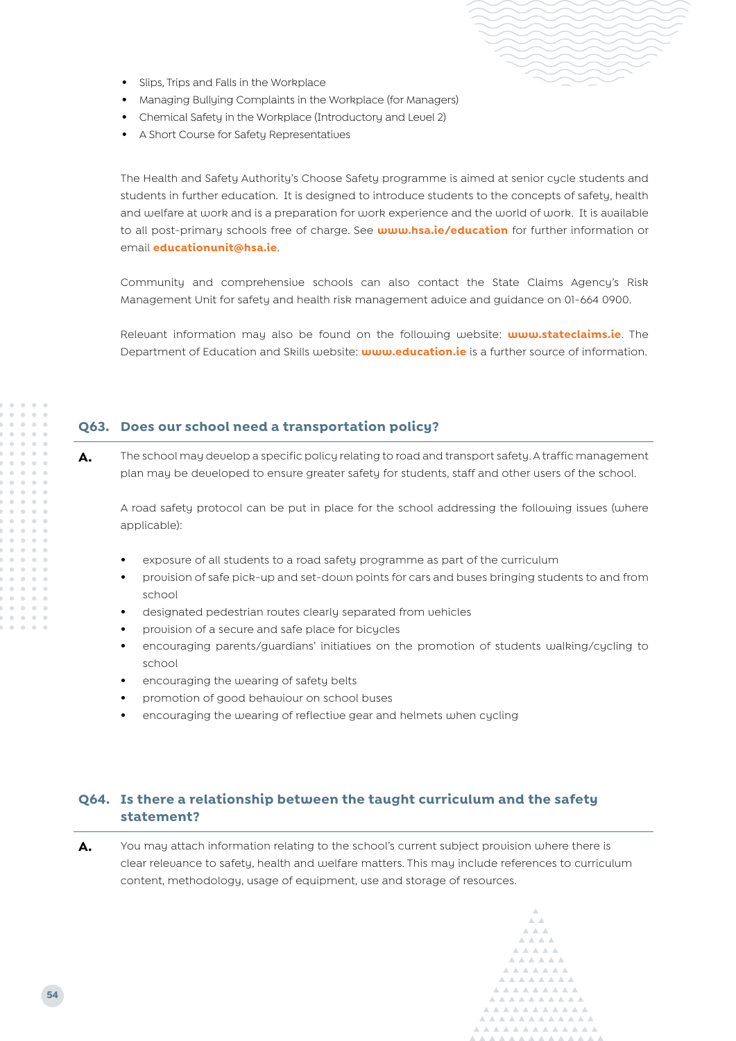- **•** Slips, Trips and Falls in the Workplace
- **•** Managing Bullying Complaints in the Workplace (for Managers)
- **•** Chemical Safety in the Workplace (Introductory and Level 2)
- **•** A Short Course for Safety Representatives

The Health and Safety Authority's Choose Safety programme is aimed at senior cycle students and students in further education. It is designed to introduce students to the concepts of safety, health and welfare at work and is a preparation for work experience and the world of work. It is available to all post-primary schools free of charge. See **www.hsa.ie/education** for further information or email **[educationunit@hsa.ie](mailto:?subject=)**.

Community and comprehensive schools can also contact the State Claims Agency's Risk Management Unit for safety and health risk management advice and guidance on 01-664 0900.

Relevant information may also be found on the following website: **www.stateclaims.ie**. The Department of Education and Skills website: **www.education.ie** is a further source of information.

#### **Q63. Does our school need a transportation policy?**

A. The school may develop a specific policy relating to road and transport safety. A traffic management plan may be developed to ensure greater safety for students, staff and other users of the school.

A road safety protocol can be put in place for the school addressing the following issues (where applicable):

- **•** exposure of all students to a road safety programme as part of the curriculum
- **•** provision of safe pick-up and set-down points for cars and buses bringing students to and from school
- **•** designated pedestrian routes clearly separated from vehicles
- **•** provision of a secure and safe place for bicycles
- **•** encouraging parents/guardians' initiatives on the promotion of students walking/cycling to school
- **•** encouraging the wearing of safety belts
- **•** promotion of good behaviour on school buses
- **•** encouraging the wearing of reflective gear and helmets when cycling

## **Q64. Is there a relationship between the taught curriculum and the safety statement?**

A. You may attach information relating to the school's current subject provision where there is clear relevance to safety, health and welfare matters. This may include references to curriculum content, methodology, usage of equipment, use and storage of resources.